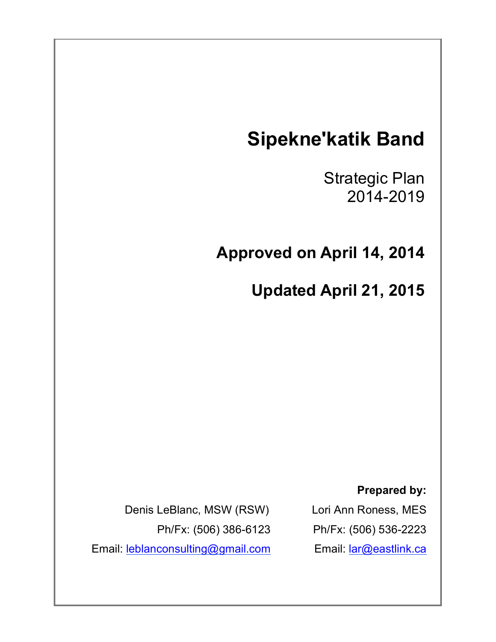# **Sipekne'katik Band**

Strategic Plan 2014-2019

 $\mathbf{a}$ 

**Approved on April 14, 2014**

**Updated April 21, 2015**

**Prepared by:**

Lori Ann Roness, MES Ph/Fx: (506) 536-2223 Email: lar@eastlink.ca

Denis LeBlanc, MSW (RSW) Ph/Fx: (506) 386-6123 Email: leblanconsulting@gmail.com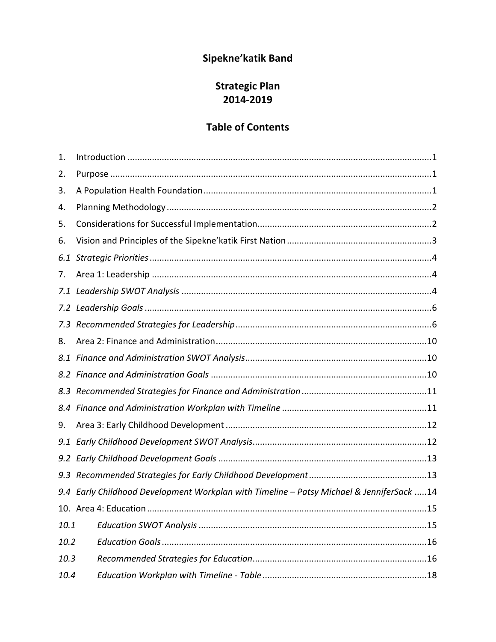## Sipekne'katik Band

## **Strategic Plan** 2014-2019

## **Table of Contents**

| 1.   |                                                                                          |
|------|------------------------------------------------------------------------------------------|
| 2.   |                                                                                          |
| 3.   |                                                                                          |
| 4.   |                                                                                          |
| 5.   |                                                                                          |
| 6.   |                                                                                          |
| 6.1  |                                                                                          |
| 7.   |                                                                                          |
|      |                                                                                          |
|      |                                                                                          |
| 7.3  |                                                                                          |
| 8.   |                                                                                          |
|      |                                                                                          |
|      |                                                                                          |
| 8.3  |                                                                                          |
| 8.4  |                                                                                          |
| 9.   |                                                                                          |
| 9.1  |                                                                                          |
|      |                                                                                          |
| 9.3  |                                                                                          |
|      | 9.4 Early Childhood Development Workplan with Timeline - Patsy Michael & JenniferSack 14 |
|      |                                                                                          |
| 10.1 |                                                                                          |
| 10.2 |                                                                                          |
| 10.3 |                                                                                          |
| 10.4 |                                                                                          |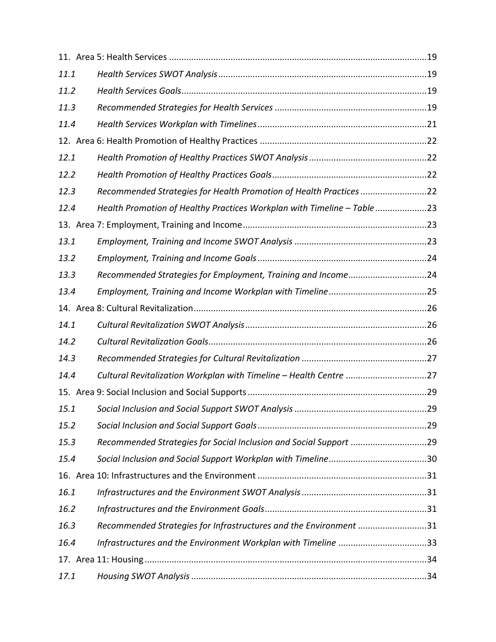| 11.1 |                                                                         |  |
|------|-------------------------------------------------------------------------|--|
| 11.2 |                                                                         |  |
| 11.3 |                                                                         |  |
| 11.4 |                                                                         |  |
|      |                                                                         |  |
| 12.1 |                                                                         |  |
| 12.2 |                                                                         |  |
| 12.3 | Recommended Strategies for Health Promotion of Health Practices 22      |  |
| 12.4 | Health Promotion of Healthy Practices Workplan with Timeline - Table 23 |  |
|      |                                                                         |  |
| 13.1 |                                                                         |  |
| 13.2 |                                                                         |  |
| 13.3 | Recommended Strategies for Employment, Training and Income24            |  |
| 13.4 |                                                                         |  |
|      |                                                                         |  |
| 14.1 |                                                                         |  |
| 14.2 |                                                                         |  |
| 14.3 |                                                                         |  |
| 14.4 | Cultural Revitalization Workplan with Timeline - Health Centre 27       |  |
|      |                                                                         |  |
| 15.1 |                                                                         |  |
| 15.2 |                                                                         |  |
| 15.3 | Recommended Strategies for Social Inclusion and Social Support 29       |  |
| 15.4 |                                                                         |  |
|      |                                                                         |  |
| 16.1 |                                                                         |  |
| 16.2 |                                                                         |  |
| 16.3 | Recommended Strategies for Infrastructures and the Environment 31       |  |
| 16.4 | Infrastructures and the Environment Workplan with Timeline 33           |  |
|      |                                                                         |  |
| 17.1 |                                                                         |  |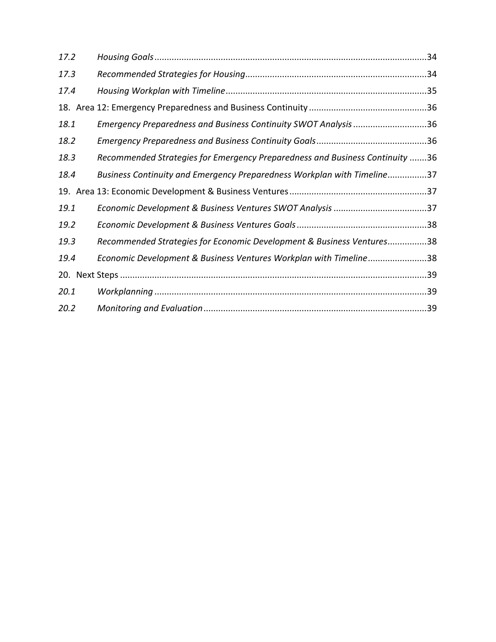| 17.2 |                                                                              |  |
|------|------------------------------------------------------------------------------|--|
| 17.3 |                                                                              |  |
| 17.4 |                                                                              |  |
|      |                                                                              |  |
| 18.1 | Emergency Preparedness and Business Continuity SWOT Analysis 36              |  |
| 18.2 |                                                                              |  |
| 18.3 | Recommended Strategies for Emergency Preparedness and Business Continuity 36 |  |
| 18.4 | Business Continuity and Emergency Preparedness Workplan with Timeline37      |  |
|      |                                                                              |  |
| 19.1 |                                                                              |  |
| 19.2 |                                                                              |  |
| 19.3 | Recommended Strategies for Economic Development & Business Ventures38        |  |
| 19.4 | Economic Development & Business Ventures Workplan with Timeline38            |  |
|      |                                                                              |  |
| 20.1 |                                                                              |  |
| 20.2 |                                                                              |  |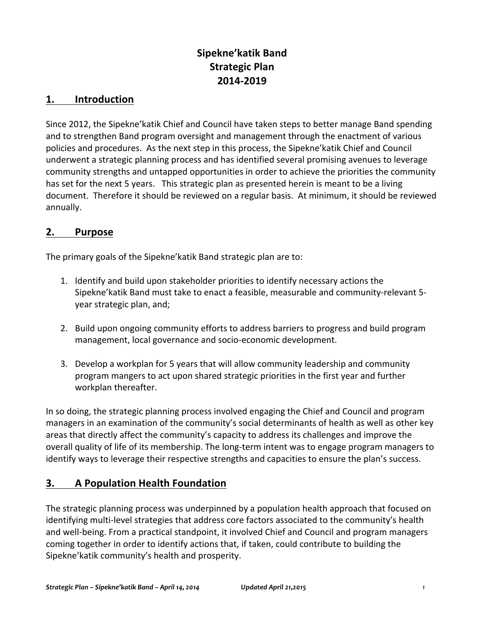## **Sipekne'katik Band Strategic Plan 2014-2019**

#### **1. Introduction**

Since 2012, the Sipekne' katik Chief and Council have taken steps to better manage Band spending and to strengthen Band program oversight and management through the enactment of various policies and procedures. As the next step in this process, the Sipekne' katik Chief and Council underwent a strategic planning process and has identified several promising avenues to leverage community strengths and untapped opportunities in order to achieve the priorities the community has set for the next 5 years. This strategic plan as presented herein is meant to be a living document. Therefore it should be reviewed on a regular basis. At minimum, it should be reviewed annually.

#### **2. Purpose**

The primary goals of the Sipekne' katik Band strategic plan are to:

- 1. Identify and build upon stakeholder priorities to identify necessary actions the Sipekne' katik Band must take to enact a feasible, measurable and community-relevant 5year strategic plan, and;
- 2. Build upon ongoing community efforts to address barriers to progress and build program management, local governance and socio-economic development.
- 3. Develop a workplan for 5 years that will allow community leadership and community program mangers to act upon shared strategic priorities in the first year and further workplan thereafter.

In so doing, the strategic planning process involved engaging the Chief and Council and program managers in an examination of the community's social determinants of health as well as other key areas that directly affect the community's capacity to address its challenges and improve the overall quality of life of its membership. The long-term intent was to engage program managers to identify ways to leverage their respective strengths and capacities to ensure the plan's success.

## **3. A Population Health Foundation**

The strategic planning process was underpinned by a population health approach that focused on identifying multi-level strategies that address core factors associated to the community's health and well-being. From a practical standpoint, it involved Chief and Council and program managers coming together in order to identify actions that, if taken, could contribute to building the Sipekne'katik community's health and prosperity.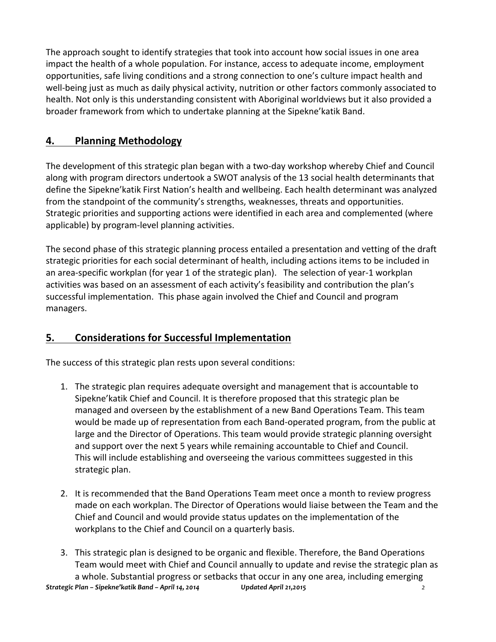The approach sought to identify strategies that took into account how social issues in one area impact the health of a whole population. For instance, access to adequate income, employment opportunities, safe living conditions and a strong connection to one's culture impact health and well-being just as much as daily physical activity, nutrition or other factors commonly associated to health. Not only is this understanding consistent with Aboriginal worldviews but it also provided a broader framework from which to undertake planning at the Sipekne'katik Band.

## **4. Planning Methodology**

The development of this strategic plan began with a two-day workshop whereby Chief and Council along with program directors undertook a SWOT analysis of the 13 social health determinants that define the Sipekne' katik First Nation's health and wellbeing. Each health determinant was analyzed from the standpoint of the community's strengths, weaknesses, threats and opportunities. Strategic priorities and supporting actions were identified in each area and complemented (where applicable) by program-level planning activities.

The second phase of this strategic planning process entailed a presentation and vetting of the draft strategic priorities for each social determinant of health, including actions items to be included in an area-specific workplan (for year 1 of the strategic plan). The selection of year-1 workplan activities was based on an assessment of each activity's feasibility and contribution the plan's successful implementation. This phase again involved the Chief and Council and program managers. 

## **<u>5.** Considerations for Successful Implementation</u>

The success of this strategic plan rests upon several conditions:

- 1. The strategic plan requires adequate oversight and management that is accountable to Sipekne' katik Chief and Council. It is therefore proposed that this strategic plan be managed and overseen by the establishment of a new Band Operations Team. This team would be made up of representation from each Band-operated program, from the public at large and the Director of Operations. This team would provide strategic planning oversight and support over the next 5 years while remaining accountable to Chief and Council. This will include establishing and overseeing the various committees suggested in this strategic plan.
- 2. It is recommended that the Band Operations Team meet once a month to review progress made on each workplan. The Director of Operations would liaise between the Team and the Chief and Council and would provide status updates on the implementation of the workplans to the Chief and Council on a quarterly basis.
- *Strategic Plan Sipekne'katik Band April 14, 2014 Dpdated April 21,2015 2* 3. This strategic plan is designed to be organic and flexible. Therefore, the Band Operations Team would meet with Chief and Council annually to update and revise the strategic plan as a whole. Substantial progress or setbacks that occur in any one area, including emerging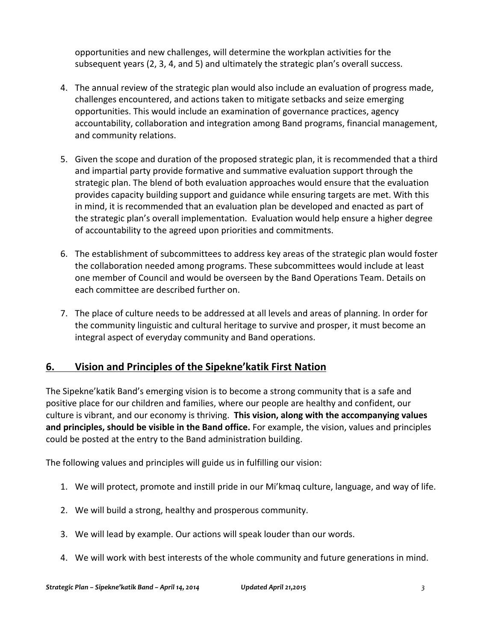opportunities and new challenges, will determine the workplan activities for the subsequent years  $(2, 3, 4,$  and  $5)$  and ultimately the strategic plan's overall success.

- 4. The annual review of the strategic plan would also include an evaluation of progress made, challenges encountered, and actions taken to mitigate setbacks and seize emerging opportunities. This would include an examination of governance practices, agency accountability, collaboration and integration among Band programs, financial management, and community relations.
- 5. Given the scope and duration of the proposed strategic plan, it is recommended that a third and impartial party provide formative and summative evaluation support through the strategic plan. The blend of both evaluation approaches would ensure that the evaluation provides capacity building support and guidance while ensuring targets are met. With this in mind, it is recommended that an evaluation plan be developed and enacted as part of the strategic plan's overall implementation. Evaluation would help ensure a higher degree of accountability to the agreed upon priorities and commitments.
- 6. The establishment of subcommittees to address key areas of the strategic plan would foster the collaboration needed among programs. These subcommittees would include at least one member of Council and would be overseen by the Band Operations Team. Details on each committee are described further on.
- 7. The place of culture needs to be addressed at all levels and areas of planning. In order for the community linguistic and cultural heritage to survive and prosper, it must become an integral aspect of everyday community and Band operations.

## **6. Vision and Principles of the Sipekne'katik First Nation**

The Sipekne'katik Band's emerging vision is to become a strong community that is a safe and positive place for our children and families, where our people are healthy and confident, our culture is vibrant, and our economy is thriving. This vision, along with the accompanying values and principles, should be visible in the Band office. For example, the vision, values and principles could be posted at the entry to the Band administration building.

The following values and principles will guide us in fulfilling our vision:

- 1. We will protect, promote and instill pride in our Mi'kmaq culture, language, and way of life.
- 2. We will build a strong, healthy and prosperous community.
- 3. We will lead by example. Our actions will speak louder than our words.
- 4. We will work with best interests of the whole community and future generations in mind.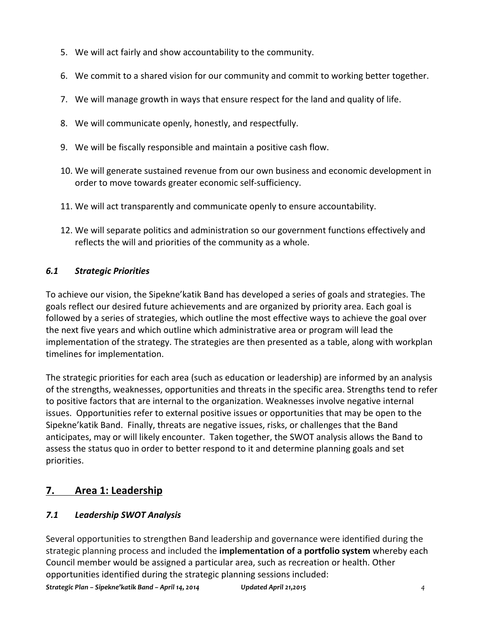- 5. We will act fairly and show accountability to the community.
- 6. We commit to a shared vision for our community and commit to working better together.
- 7. We will manage growth in ways that ensure respect for the land and quality of life.
- 8. We will communicate openly, honestly, and respectfully.
- 9. We will be fiscally responsible and maintain a positive cash flow.
- 10. We will generate sustained revenue from our own business and economic development in order to move towards greater economic self-sufficiency.
- 11. We will act transparently and communicate openly to ensure accountability.
- 12. We will separate politics and administration so our government functions effectively and reflects the will and priorities of the community as a whole.

#### *6.1 Strategic Priorities*

To achieve our vision, the Sipekne' katik Band has developed a series of goals and strategies. The goals reflect our desired future achievements and are organized by priority area. Each goal is followed by a series of strategies, which outline the most effective ways to achieve the goal over the next five years and which outline which administrative area or program will lead the implementation of the strategy. The strategies are then presented as a table, along with workplan timelines for implementation.

The strategic priorities for each area (such as education or leadership) are informed by an analysis of the strengths, weaknesses, opportunities and threats in the specific area. Strengths tend to refer to positive factors that are internal to the organization. Weaknesses involve negative internal issues. Opportunities refer to external positive issues or opportunities that may be open to the Sipekne' katik Band. Finally, threats are negative issues, risks, or challenges that the Band anticipates, may or will likely encounter. Taken together, the SWOT analysis allows the Band to assess the status quo in order to better respond to it and determine planning goals and set priorities. 

## **7. Area 1: Leadership**

#### *7.1 Leadership SWOT Analysis*

Several opportunities to strengthen Band leadership and governance were identified during the strategic planning process and included the **implementation of a portfolio system** whereby each Council member would be assigned a particular area, such as recreation or health. Other opportunities identified during the strategic planning sessions included:

*Strategic Plan – Sipekne'katik Band – April 14, 2014 Dpdated April 21,2015 4*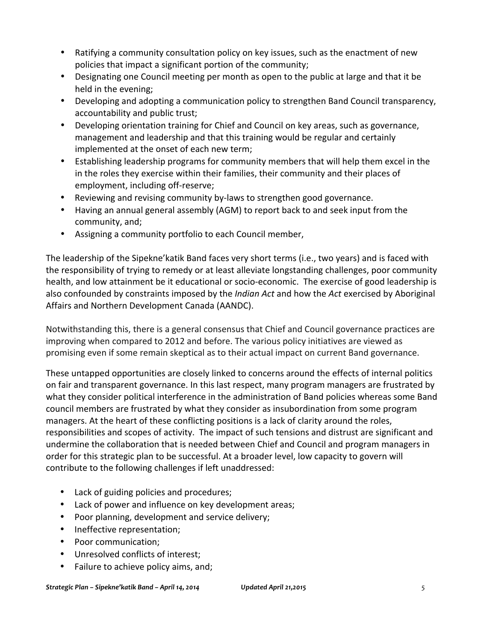- Ratifying a community consultation policy on key issues, such as the enactment of new policies that impact a significant portion of the community;
- Designating one Council meeting per month as open to the public at large and that it be held in the evening;
- Developing and adopting a communication policy to strengthen Band Council transparency, accountability and public trust;
- Developing orientation training for Chief and Council on key areas, such as governance, management and leadership and that this training would be regular and certainly implemented at the onset of each new term;
- Establishing leadership programs for community members that will help them excel in the in the roles they exercise within their families, their community and their places of employment, including off-reserve;
- Reviewing and revising community by-laws to strengthen good governance.
- Having an annual general assembly (AGM) to report back to and seek input from the community, and;
- Assigning a community portfolio to each Council member,

The leadership of the Sipekne' katik Band faces very short terms (i.e., two years) and is faced with the responsibility of trying to remedy or at least alleviate longstanding challenges, poor community health, and low attainment be it educational or socio-economic. The exercise of good leadership is also confounded by constraints imposed by the *Indian Act* and how the Act exercised by Aboriginal Affairs and Northern Development Canada (AANDC).

Notwithstanding this, there is a general consensus that Chief and Council governance practices are improving when compared to 2012 and before. The various policy initiatives are viewed as promising even if some remain skeptical as to their actual impact on current Band governance.

These untapped opportunities are closely linked to concerns around the effects of internal politics on fair and transparent governance. In this last respect, many program managers are frustrated by what they consider political interference in the administration of Band policies whereas some Band council members are frustrated by what they consider as insubordination from some program managers. At the heart of these conflicting positions is a lack of clarity around the roles, responsibilities and scopes of activity. The impact of such tensions and distrust are significant and undermine the collaboration that is needed between Chief and Council and program managers in order for this strategic plan to be successful. At a broader level, low capacity to govern will contribute to the following challenges if left unaddressed:

- Lack of guiding policies and procedures;
- Lack of power and influence on key development areas;
- Poor planning, development and service delivery;
- Ineffective representation;
- Poor communication:
- Unresolved conflicts of interest;
- Failure to achieve policy aims, and;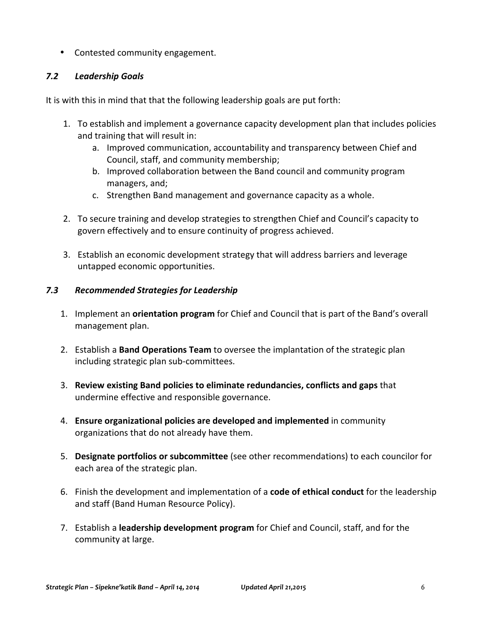• Contested community engagement.

#### *7.2 Leadership Goals*

It is with this in mind that that the following leadership goals are put forth:

- 1. To establish and implement a governance capacity development plan that includes policies and training that will result in:
	- a. Improved communication, accountability and transparency between Chief and Council, staff, and community membership;
	- b. Improved collaboration between the Band council and community program managers, and;
	- c. Strengthen Band management and governance capacity as a whole.
- 2. To secure training and develop strategies to strengthen Chief and Council's capacity to govern effectively and to ensure continuity of progress achieved.
- 3. Establish an economic development strategy that will address barriers and leverage untapped economic opportunities.

#### *7.3 Recommended Strategies for Leadership*

- 1. Implement an **orientation program** for Chief and Council that is part of the Band's overall management plan.
- 2. Establish a **Band Operations Team** to oversee the implantation of the strategic plan including strategic plan sub-committees.
- **3. Review existing Band policies to eliminate redundancies, conflicts and gaps** that undermine effective and responsible governance.
- 4. **Ensure organizational policies are developed and implemented** in community organizations that do not already have them.
- 5. **Designate portfolios or subcommittee** (see other recommendations) to each councilor for each area of the strategic plan.
- 6. Finish the development and implementation of a **code of ethical conduct** for the leadership and staff (Band Human Resource Policy).
- 7. Establish a **leadership development program** for Chief and Council, staff, and for the community at large.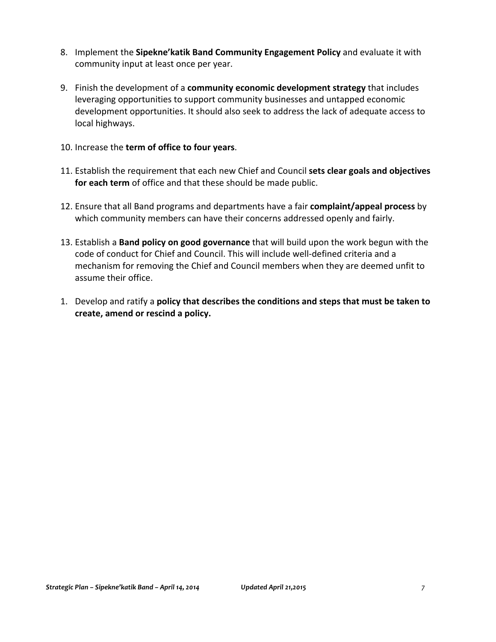- 8. Implement the Sipekne'katik Band Community Engagement Policy and evaluate it with community input at least once per year.
- 9. Finish the development of a **community economic development strategy** that includes leveraging opportunities to support community businesses and untapped economic development opportunities. It should also seek to address the lack of adequate access to local highways.
- 10. Increase the **term of office to four years**.
- 11. Establish the requirement that each new Chief and Council sets clear goals and objectives **for each term** of office and that these should be made public.
- 12. Ensure that all Band programs and departments have a fair **complaint/appeal process** by which community members can have their concerns addressed openly and fairly.
- 13. Establish a **Band policy on good governance** that will build upon the work begun with the code of conduct for Chief and Council. This will include well-defined criteria and a mechanism for removing the Chief and Council members when they are deemed unfit to assume their office.
- 1. Develop and ratify a **policy that describes the conditions and steps that must be taken to** create, amend or rescind a policy.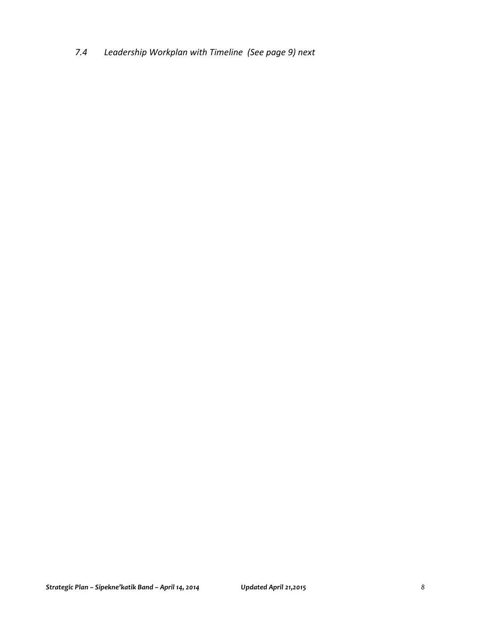*7.4 Leadership Workplan with Timeline (See page 9) next*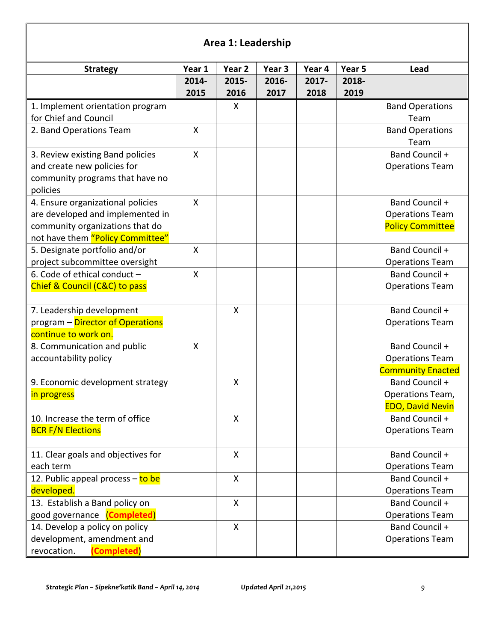## **Area 1: Leadership**

| 2014-<br>2015-<br>2016-<br>2017-<br>2018-<br>2016<br>2015<br>2017<br>2018<br>2019<br>1. Implement orientation program<br>X<br><b>Band Operations</b><br>for Chief and Council<br>Team<br>2. Band Operations Team<br>X<br><b>Band Operations</b><br>Team<br>Band Council +<br>X<br>3. Review existing Band policies<br>and create new policies for<br><b>Operations Team</b><br>community programs that have no<br>policies<br>4. Ensure organizational policies<br>X<br>Band Council +<br>are developed and implemented in<br><b>Operations Team</b><br>community organizations that do<br><b>Policy Committee</b><br>not have them "Policy Committee"<br>Band Council +<br>5. Designate portfolio and/or<br>X<br>project subcommittee oversight<br><b>Operations Team</b><br>6. Code of ethical conduct -<br>$\pmb{\mathsf{X}}$<br>Band Council +<br>Chief & Council (C&C) to pass<br><b>Operations Team</b><br>$\boldsymbol{\mathsf{X}}$<br>Band Council +<br>7. Leadership development<br>program - Director of Operations<br><b>Operations Team</b><br>continue to work on.<br>Band Council +<br>8. Communication and public<br>X<br>accountability policy<br><b>Operations Team</b><br><b>Community Enacted</b><br>Band Council +<br>9. Economic development strategy<br>X |                 |        |        |                   |        |        |                  |
|---------------------------------------------------------------------------------------------------------------------------------------------------------------------------------------------------------------------------------------------------------------------------------------------------------------------------------------------------------------------------------------------------------------------------------------------------------------------------------------------------------------------------------------------------------------------------------------------------------------------------------------------------------------------------------------------------------------------------------------------------------------------------------------------------------------------------------------------------------------------------------------------------------------------------------------------------------------------------------------------------------------------------------------------------------------------------------------------------------------------------------------------------------------------------------------------------------------------------------------------------------------------------------|-----------------|--------|--------|-------------------|--------|--------|------------------|
|                                                                                                                                                                                                                                                                                                                                                                                                                                                                                                                                                                                                                                                                                                                                                                                                                                                                                                                                                                                                                                                                                                                                                                                                                                                                                 | <b>Strategy</b> | Year 1 | Year 2 | Year <sub>3</sub> | Year 4 | Year 5 | Lead             |
|                                                                                                                                                                                                                                                                                                                                                                                                                                                                                                                                                                                                                                                                                                                                                                                                                                                                                                                                                                                                                                                                                                                                                                                                                                                                                 |                 |        |        |                   |        |        |                  |
|                                                                                                                                                                                                                                                                                                                                                                                                                                                                                                                                                                                                                                                                                                                                                                                                                                                                                                                                                                                                                                                                                                                                                                                                                                                                                 |                 |        |        |                   |        |        |                  |
|                                                                                                                                                                                                                                                                                                                                                                                                                                                                                                                                                                                                                                                                                                                                                                                                                                                                                                                                                                                                                                                                                                                                                                                                                                                                                 |                 |        |        |                   |        |        |                  |
|                                                                                                                                                                                                                                                                                                                                                                                                                                                                                                                                                                                                                                                                                                                                                                                                                                                                                                                                                                                                                                                                                                                                                                                                                                                                                 |                 |        |        |                   |        |        |                  |
|                                                                                                                                                                                                                                                                                                                                                                                                                                                                                                                                                                                                                                                                                                                                                                                                                                                                                                                                                                                                                                                                                                                                                                                                                                                                                 |                 |        |        |                   |        |        |                  |
|                                                                                                                                                                                                                                                                                                                                                                                                                                                                                                                                                                                                                                                                                                                                                                                                                                                                                                                                                                                                                                                                                                                                                                                                                                                                                 |                 |        |        |                   |        |        |                  |
|                                                                                                                                                                                                                                                                                                                                                                                                                                                                                                                                                                                                                                                                                                                                                                                                                                                                                                                                                                                                                                                                                                                                                                                                                                                                                 |                 |        |        |                   |        |        |                  |
|                                                                                                                                                                                                                                                                                                                                                                                                                                                                                                                                                                                                                                                                                                                                                                                                                                                                                                                                                                                                                                                                                                                                                                                                                                                                                 |                 |        |        |                   |        |        |                  |
|                                                                                                                                                                                                                                                                                                                                                                                                                                                                                                                                                                                                                                                                                                                                                                                                                                                                                                                                                                                                                                                                                                                                                                                                                                                                                 |                 |        |        |                   |        |        |                  |
|                                                                                                                                                                                                                                                                                                                                                                                                                                                                                                                                                                                                                                                                                                                                                                                                                                                                                                                                                                                                                                                                                                                                                                                                                                                                                 |                 |        |        |                   |        |        |                  |
|                                                                                                                                                                                                                                                                                                                                                                                                                                                                                                                                                                                                                                                                                                                                                                                                                                                                                                                                                                                                                                                                                                                                                                                                                                                                                 |                 |        |        |                   |        |        |                  |
|                                                                                                                                                                                                                                                                                                                                                                                                                                                                                                                                                                                                                                                                                                                                                                                                                                                                                                                                                                                                                                                                                                                                                                                                                                                                                 |                 |        |        |                   |        |        |                  |
|                                                                                                                                                                                                                                                                                                                                                                                                                                                                                                                                                                                                                                                                                                                                                                                                                                                                                                                                                                                                                                                                                                                                                                                                                                                                                 |                 |        |        |                   |        |        |                  |
|                                                                                                                                                                                                                                                                                                                                                                                                                                                                                                                                                                                                                                                                                                                                                                                                                                                                                                                                                                                                                                                                                                                                                                                                                                                                                 |                 |        |        |                   |        |        |                  |
|                                                                                                                                                                                                                                                                                                                                                                                                                                                                                                                                                                                                                                                                                                                                                                                                                                                                                                                                                                                                                                                                                                                                                                                                                                                                                 |                 |        |        |                   |        |        |                  |
|                                                                                                                                                                                                                                                                                                                                                                                                                                                                                                                                                                                                                                                                                                                                                                                                                                                                                                                                                                                                                                                                                                                                                                                                                                                                                 |                 |        |        |                   |        |        |                  |
|                                                                                                                                                                                                                                                                                                                                                                                                                                                                                                                                                                                                                                                                                                                                                                                                                                                                                                                                                                                                                                                                                                                                                                                                                                                                                 |                 |        |        |                   |        |        |                  |
|                                                                                                                                                                                                                                                                                                                                                                                                                                                                                                                                                                                                                                                                                                                                                                                                                                                                                                                                                                                                                                                                                                                                                                                                                                                                                 |                 |        |        |                   |        |        |                  |
|                                                                                                                                                                                                                                                                                                                                                                                                                                                                                                                                                                                                                                                                                                                                                                                                                                                                                                                                                                                                                                                                                                                                                                                                                                                                                 |                 |        |        |                   |        |        |                  |
|                                                                                                                                                                                                                                                                                                                                                                                                                                                                                                                                                                                                                                                                                                                                                                                                                                                                                                                                                                                                                                                                                                                                                                                                                                                                                 |                 |        |        |                   |        |        |                  |
|                                                                                                                                                                                                                                                                                                                                                                                                                                                                                                                                                                                                                                                                                                                                                                                                                                                                                                                                                                                                                                                                                                                                                                                                                                                                                 |                 |        |        |                   |        |        |                  |
|                                                                                                                                                                                                                                                                                                                                                                                                                                                                                                                                                                                                                                                                                                                                                                                                                                                                                                                                                                                                                                                                                                                                                                                                                                                                                 |                 |        |        |                   |        |        |                  |
|                                                                                                                                                                                                                                                                                                                                                                                                                                                                                                                                                                                                                                                                                                                                                                                                                                                                                                                                                                                                                                                                                                                                                                                                                                                                                 |                 |        |        |                   |        |        |                  |
|                                                                                                                                                                                                                                                                                                                                                                                                                                                                                                                                                                                                                                                                                                                                                                                                                                                                                                                                                                                                                                                                                                                                                                                                                                                                                 |                 |        |        |                   |        |        |                  |
|                                                                                                                                                                                                                                                                                                                                                                                                                                                                                                                                                                                                                                                                                                                                                                                                                                                                                                                                                                                                                                                                                                                                                                                                                                                                                 |                 |        |        |                   |        |        |                  |
|                                                                                                                                                                                                                                                                                                                                                                                                                                                                                                                                                                                                                                                                                                                                                                                                                                                                                                                                                                                                                                                                                                                                                                                                                                                                                 |                 |        |        |                   |        |        |                  |
|                                                                                                                                                                                                                                                                                                                                                                                                                                                                                                                                                                                                                                                                                                                                                                                                                                                                                                                                                                                                                                                                                                                                                                                                                                                                                 | in progress     |        |        |                   |        |        | Operations Team, |
| <b>EDO, David Nevin</b>                                                                                                                                                                                                                                                                                                                                                                                                                                                                                                                                                                                                                                                                                                                                                                                                                                                                                                                                                                                                                                                                                                                                                                                                                                                         |                 |        |        |                   |        |        |                  |
| 10. Increase the term of office<br>X<br>Band Council +                                                                                                                                                                                                                                                                                                                                                                                                                                                                                                                                                                                                                                                                                                                                                                                                                                                                                                                                                                                                                                                                                                                                                                                                                          |                 |        |        |                   |        |        |                  |
| <b>BCR F/N Elections</b><br><b>Operations Team</b>                                                                                                                                                                                                                                                                                                                                                                                                                                                                                                                                                                                                                                                                                                                                                                                                                                                                                                                                                                                                                                                                                                                                                                                                                              |                 |        |        |                   |        |        |                  |
|                                                                                                                                                                                                                                                                                                                                                                                                                                                                                                                                                                                                                                                                                                                                                                                                                                                                                                                                                                                                                                                                                                                                                                                                                                                                                 |                 |        |        |                   |        |        |                  |
| $\mathsf{X}$<br>Band Council +<br>11. Clear goals and objectives for                                                                                                                                                                                                                                                                                                                                                                                                                                                                                                                                                                                                                                                                                                                                                                                                                                                                                                                                                                                                                                                                                                                                                                                                            |                 |        |        |                   |        |        |                  |
| each term<br><b>Operations Team</b>                                                                                                                                                                                                                                                                                                                                                                                                                                                                                                                                                                                                                                                                                                                                                                                                                                                                                                                                                                                                                                                                                                                                                                                                                                             |                 |        |        |                   |        |        |                  |
| $\pmb{\mathsf{X}}$<br>Band Council +<br>12. Public appeal process – to be                                                                                                                                                                                                                                                                                                                                                                                                                                                                                                                                                                                                                                                                                                                                                                                                                                                                                                                                                                                                                                                                                                                                                                                                       |                 |        |        |                   |        |        |                  |
| developed.<br><b>Operations Team</b>                                                                                                                                                                                                                                                                                                                                                                                                                                                                                                                                                                                                                                                                                                                                                                                                                                                                                                                                                                                                                                                                                                                                                                                                                                            |                 |        |        |                   |        |        |                  |
| 13. Establish a Band policy on<br>X<br>Band Council +                                                                                                                                                                                                                                                                                                                                                                                                                                                                                                                                                                                                                                                                                                                                                                                                                                                                                                                                                                                                                                                                                                                                                                                                                           |                 |        |        |                   |        |        |                  |
| good governance ( <b>Completed</b> )<br><b>Operations Team</b>                                                                                                                                                                                                                                                                                                                                                                                                                                                                                                                                                                                                                                                                                                                                                                                                                                                                                                                                                                                                                                                                                                                                                                                                                  |                 |        |        |                   |        |        |                  |
| 14. Develop a policy on policy<br>X<br>Band Council +                                                                                                                                                                                                                                                                                                                                                                                                                                                                                                                                                                                                                                                                                                                                                                                                                                                                                                                                                                                                                                                                                                                                                                                                                           |                 |        |        |                   |        |        |                  |
| development, amendment and<br><b>Operations Team</b>                                                                                                                                                                                                                                                                                                                                                                                                                                                                                                                                                                                                                                                                                                                                                                                                                                                                                                                                                                                                                                                                                                                                                                                                                            |                 |        |        |                   |        |        |                  |
| (Completed)<br>revocation.                                                                                                                                                                                                                                                                                                                                                                                                                                                                                                                                                                                                                                                                                                                                                                                                                                                                                                                                                                                                                                                                                                                                                                                                                                                      |                 |        |        |                   |        |        |                  |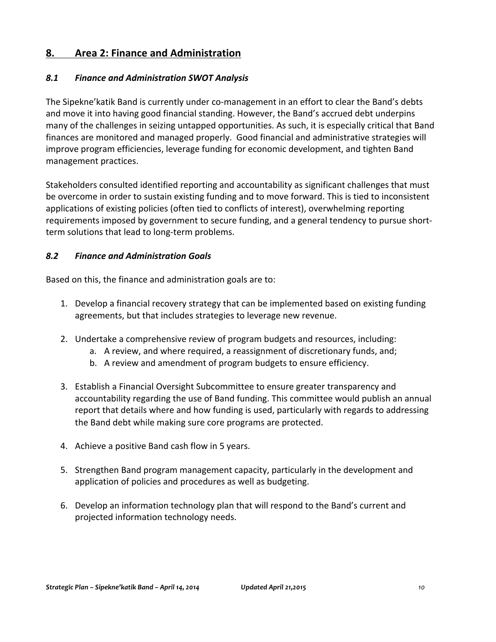## **8. Area 2: Finance and Administration**

#### *8.1 Finance and Administration SWOT Analysis*

The Sipekne' katik Band is currently under co-management in an effort to clear the Band's debts and move it into having good financial standing. However, the Band's accrued debt underpins many of the challenges in seizing untapped opportunities. As such, it is especially critical that Band finances are monitored and managed properly. Good financial and administrative strategies will improve program efficiencies, leverage funding for economic development, and tighten Band management practices.

Stakeholders consulted identified reporting and accountability as significant challenges that must be overcome in order to sustain existing funding and to move forward. This is tied to inconsistent applications of existing policies (often tied to conflicts of interest), overwhelming reporting requirements imposed by government to secure funding, and a general tendency to pursue shortterm solutions that lead to long-term problems.

#### *8.2 Finance and Administration Goals*

Based on this, the finance and administration goals are to:

- 1. Develop a financial recovery strategy that can be implemented based on existing funding agreements, but that includes strategies to leverage new revenue.
- 2. Undertake a comprehensive review of program budgets and resources, including:
	- a. A review, and where required, a reassignment of discretionary funds, and;
	- b. A review and amendment of program budgets to ensure efficiency.
- 3. Establish a Financial Oversight Subcommittee to ensure greater transparency and accountability regarding the use of Band funding. This committee would publish an annual report that details where and how funding is used, particularly with regards to addressing the Band debt while making sure core programs are protected.
- 4. Achieve a positive Band cash flow in 5 years.
- 5. Strengthen Band program management capacity, particularly in the development and application of policies and procedures as well as budgeting.
- 6. Develop an information technology plan that will respond to the Band's current and projected information technology needs.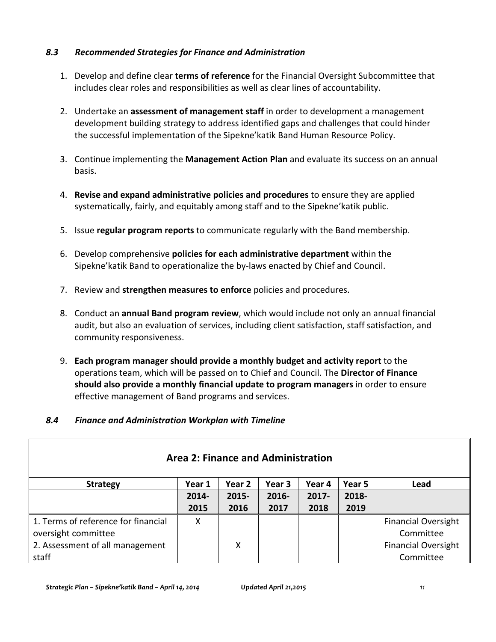#### *8.3 Recommended Strategies for Finance and Administration*

- 1. Develop and define clear **terms of reference** for the Financial Oversight Subcommittee that includes clear roles and responsibilities as well as clear lines of accountability.
- 2. Undertake an **assessment of management staff** in order to development a management development building strategy to address identified gaps and challenges that could hinder the successful implementation of the Sipekne' katik Band Human Resource Policy.
- 3. Continue implementing the **Management Action Plan** and evaluate its success on an annual basis.
- 4. **Revise and expand administrative policies and procedures** to ensure they are applied systematically, fairly, and equitably among staff and to the Sipekne' katik public.
- 5. Issue **regular program reports** to communicate regularly with the Band membership.
- 6. Develop comprehensive **policies for each administrative department** within the Sipekne' katik Band to operationalize the by-laws enacted by Chief and Council.
- 7. Review and **strengthen measures to enforce** policies and procedures.
- 8. Conduct an **annual Band program review**, which would include not only an annual financial audit, but also an evaluation of services, including client satisfaction, staff satisfaction, and community responsiveness.
- 9. **Each program manager should provide a monthly budget and activity report** to the operations team, which will be passed on to Chief and Council. The **Director of Finance should also provide a monthly financial update to program managers** in order to ensure effective management of Band programs and services.

#### *8.4 Finance and Administration Workplan with Timeline*

| <b>Area 2: Finance and Administration</b> |        |          |        |          |        |                            |  |  |  |  |
|-------------------------------------------|--------|----------|--------|----------|--------|----------------------------|--|--|--|--|
| <b>Strategy</b>                           | Year 1 | Year 2   | Year 3 | Year 4   | Year 5 | Lead                       |  |  |  |  |
|                                           | 2014-  | $2015 -$ | 2016-  | $2017 -$ | 2018-  |                            |  |  |  |  |
|                                           | 2015   | 2016     | 2017   | 2018     | 2019   |                            |  |  |  |  |
| 1. Terms of reference for financial       | х      |          |        |          |        | <b>Financial Oversight</b> |  |  |  |  |
| oversight committee                       |        |          |        |          |        | Committee                  |  |  |  |  |
| 2. Assessment of all management           |        | X        |        |          |        | <b>Financial Oversight</b> |  |  |  |  |
| staff                                     |        |          |        |          |        | Committee                  |  |  |  |  |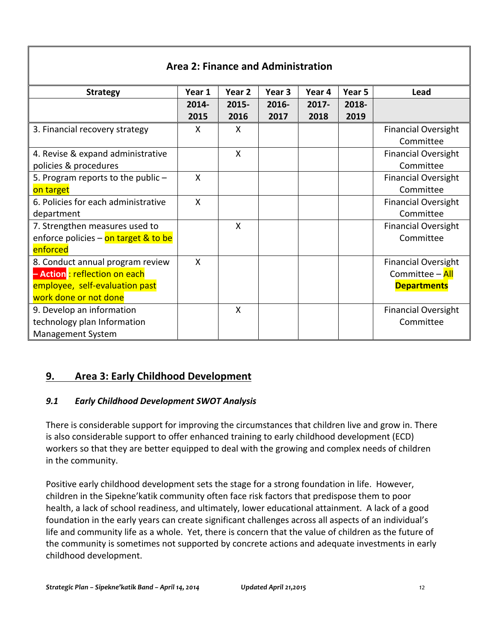#### **Area 2: Finance and Administration Strategy Year 1 Year 2 Year 3 Year 4 Year 5 Lead 2014- 2015 2015- 2016 2016- 2017 2017- 2018 2018- 2019** 3. Financial recovery strategy  $\begin{vmatrix} X & 1 & 0 \\ 0 & X & 0 \end{vmatrix}$  |  $\begin{vmatrix} 1 & 0 & 0 \\ 0 & 1 & 0 \\ 0 & 1 & 0 \end{vmatrix}$  Financial Oversight Committee 4. Revise & expand administrative policies & procedures X | | | | Financial Oversight Committee 5. Program reports to the public  $$ on target X | | | | | | Financial Oversight Committee 6. Policies for each administrative department X | | | | | | Financial Oversight Committee 7. Strengthen measures used to enforce policies – on target  $&$  to be enforced X | | | | Financial Oversight Committee 8. Conduct annual program review **– Action** : reflection on each employee, self-evaluation past work done or not done X | | | | | | Financial Oversight Committee – All **Departments** 9. Develop an information technology plan Information Management System X | | | | | Financial Oversight Committee

## **9. Area 3: Early Childhood Development**

## 9.1 **Early Childhood Development SWOT Analysis**

There is considerable support for improving the circumstances that children live and grow in. There is also considerable support to offer enhanced training to early childhood development (ECD) workers so that they are better equipped to deal with the growing and complex needs of children in the community.

Positive early childhood development sets the stage for a strong foundation in life. However, children in the Sipekne' katik community often face risk factors that predispose them to poor health, a lack of school readiness, and ultimately, lower educational attainment. A lack of a good foundation in the early years can create significant challenges across all aspects of an individual's life and community life as a whole. Yet, there is concern that the value of children as the future of the community is sometimes not supported by concrete actions and adequate investments in early childhood development.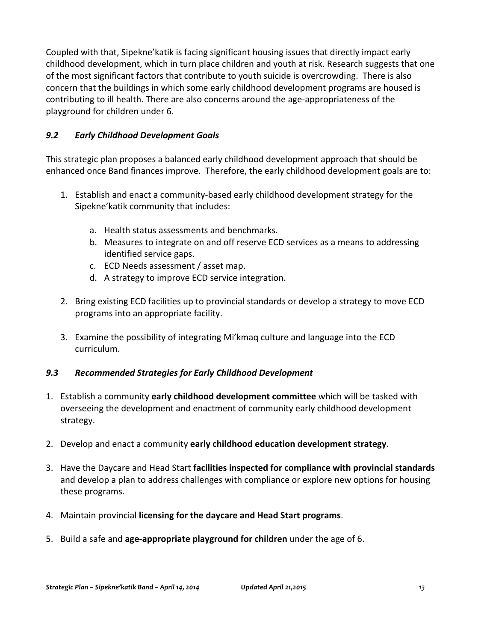Coupled with that, Sipekne' katik is facing significant housing issues that directly impact early childhood development, which in turn place children and youth at risk. Research suggests that one of the most significant factors that contribute to youth suicide is overcrowding. There is also concern that the buildings in which some early childhood development programs are housed is contributing to ill health. There are also concerns around the age-appropriateness of the playground for children under 6.

#### *9.2 Early Childhood Development Goals*

This strategic plan proposes a balanced early childhood development approach that should be enhanced once Band finances improve. Therefore, the early childhood development goals are to:

- 1. Establish and enact a community-based early childhood development strategy for the Sipekne'katik community that includes:
	- a. Health status assessments and benchmarks.
	- b. Measures to integrate on and off reserve ECD services as a means to addressing identified service gaps.
	- c. ECD Needs assessment / asset map.
	- d. A strategy to improve ECD service integration.
- 2. Bring existing ECD facilities up to provincial standards or develop a strategy to move ECD programs into an appropriate facility.
- 3. Examine the possibility of integrating Mi'kmaq culture and language into the ECD curriculum.

#### *9.3 Recommended Strategies for Early Childhood Development*

- 1. Establish a community early childhood development committee which will be tasked with overseeing the development and enactment of community early childhood development strategy.
- 2. Develop and enact a community early childhood education development strategy.
- 3. Have the Daycare and Head Start facilities inspected for compliance with provincial standards and develop a plan to address challenges with compliance or explore new options for housing these programs.
- 4. Maintain provincial **licensing for the daycare and Head Start programs**.
- 5. Build a safe and **age-appropriate playground for children** under the age of 6.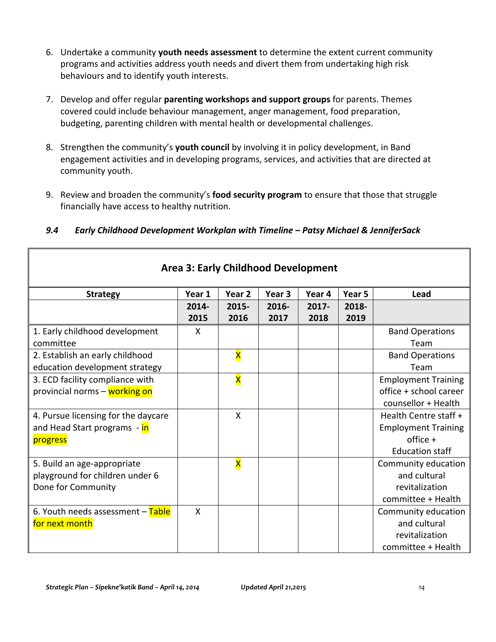- 6. Undertake a community youth needs assessment to determine the extent current community programs and activities address youth needs and divert them from undertaking high risk behaviours and to identify youth interests.
- 7. Develop and offer regular **parenting workshops and support groups** for parents. Themes covered could include behaviour management, anger management, food preparation, budgeting, parenting children with mental health or developmental challenges.
- 8. Strengthen the community's **youth council** by involving it in policy development, in Band engagement activities and in developing programs, services, and activities that are directed at community youth.
- 9. Review and broaden the community's **food security program** to ensure that those that struggle financially have access to healthy nutrition.

| <b>Area 3: Early Childhood Development</b> |        |                         |                   |          |                   |                            |  |  |  |
|--------------------------------------------|--------|-------------------------|-------------------|----------|-------------------|----------------------------|--|--|--|
| <b>Strategy</b>                            | Year 1 | Year 2                  | Year <sub>3</sub> | Year 4   | Year <sub>5</sub> | Lead                       |  |  |  |
|                                            | 2014-  | 2015-                   | $2016 -$          | $2017 -$ | 2018-             |                            |  |  |  |
|                                            | 2015   | 2016                    | 2017              | 2018     | 2019              |                            |  |  |  |
| 1. Early childhood development             | X      |                         |                   |          |                   | <b>Band Operations</b>     |  |  |  |
| committee                                  |        |                         |                   |          |                   | Team                       |  |  |  |
| 2. Establish an early childhood            |        | X                       |                   |          |                   | <b>Band Operations</b>     |  |  |  |
| education development strategy             |        |                         |                   |          |                   | Team                       |  |  |  |
| 3. ECD facility compliance with            |        | X                       |                   |          |                   | <b>Employment Training</b> |  |  |  |
| provincial norms - working on              |        |                         |                   |          |                   | office + school career     |  |  |  |
|                                            |        |                         |                   |          |                   | counsellor + Health        |  |  |  |
| 4. Pursue licensing for the daycare        |        | $\mathsf{X}$            |                   |          |                   | Health Centre staff +      |  |  |  |
| and Head Start programs - in               |        |                         |                   |          |                   | <b>Employment Training</b> |  |  |  |
| progress                                   |        |                         |                   |          |                   | $offsetice +$              |  |  |  |
|                                            |        |                         |                   |          |                   | <b>Education staff</b>     |  |  |  |
| 5. Build an age-appropriate                |        | $\overline{\mathsf{x}}$ |                   |          |                   | Community education        |  |  |  |
| playground for children under 6            |        |                         |                   |          |                   | and cultural               |  |  |  |
| Done for Community                         |        |                         |                   |          |                   | revitalization             |  |  |  |
|                                            |        |                         |                   |          |                   | committee + Health         |  |  |  |
| 6. Youth needs assessment - Table          | X      |                         |                   |          |                   | Community education        |  |  |  |
| for next month                             |        |                         |                   |          |                   | and cultural               |  |  |  |
|                                            |        |                         |                   |          |                   | revitalization             |  |  |  |
|                                            |        |                         |                   |          |                   | committee + Health         |  |  |  |

#### *9.4 Early Childhood Development Workplan with Timeline – Patsy Michael & JenniferSack*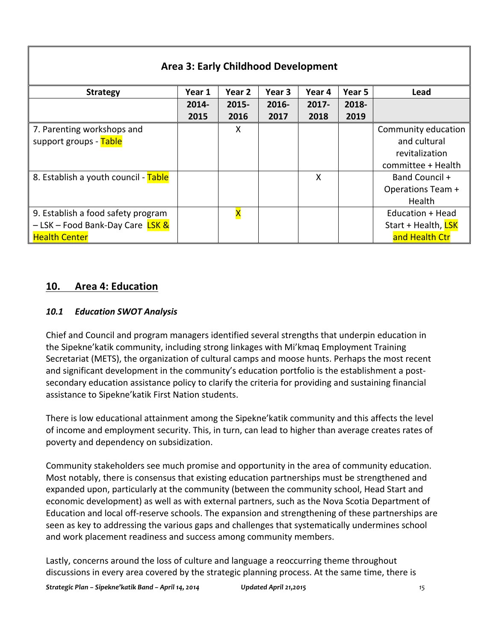| <b>Area 3: Early Childhood Development</b> |          |                   |          |          |        |                     |  |  |  |  |
|--------------------------------------------|----------|-------------------|----------|----------|--------|---------------------|--|--|--|--|
| <b>Strategy</b>                            | Year 1   | Year <sub>2</sub> | Year 3   | Year 4   | Year 5 | Lead                |  |  |  |  |
|                                            | $2014 -$ | 2015-             | $2016 -$ | $2017 -$ | 2018-  |                     |  |  |  |  |
|                                            | 2015     | 2016              | 2017     | 2018     | 2019   |                     |  |  |  |  |
| 7. Parenting workshops and                 |          | X                 |          |          |        | Community education |  |  |  |  |
| support groups - Table                     |          |                   |          |          |        | and cultural        |  |  |  |  |
|                                            |          |                   |          |          |        | revitalization      |  |  |  |  |
|                                            |          |                   |          |          |        | committee + Health  |  |  |  |  |
| 8. Establish a youth council - Table       |          |                   |          | X        |        | Band Council +      |  |  |  |  |
|                                            |          |                   |          |          |        | Operations Team +   |  |  |  |  |
|                                            |          |                   |          |          |        | <b>Health</b>       |  |  |  |  |
| 9. Establish a food safety program         |          | X                 |          |          |        | Education + Head    |  |  |  |  |
| - LSK - Food Bank-Day Care LSK &           |          |                   |          |          |        | Start + Health, LSK |  |  |  |  |
| <b>Health Center</b>                       |          |                   |          |          |        | and Health Ctr      |  |  |  |  |

## **10. Area 4: Education**

#### *10.1 Education SWOT Analysis*

Chief and Council and program managers identified several strengths that underpin education in the Sipekne'katik community, including strong linkages with Mi'kmaq Employment Training Secretariat (METS), the organization of cultural camps and moose hunts. Perhaps the most recent and significant development in the community's education portfolio is the establishment a postsecondary education assistance policy to clarify the criteria for providing and sustaining financial assistance to Sipekne' katik First Nation students.

There is low educational attainment among the Sipekne' katik community and this affects the level of income and employment security. This, in turn, can lead to higher than average creates rates of poverty and dependency on subsidization.

Community stakeholders see much promise and opportunity in the area of community education. Most notably, there is consensus that existing education partnerships must be strengthened and expanded upon, particularly at the community (between the community school, Head Start and economic development) as well as with external partners, such as the Nova Scotia Department of Education and local off-reserve schools. The expansion and strengthening of these partnerships are seen as key to addressing the various gaps and challenges that systematically undermines school and work placement readiness and success among community members.

Lastly, concerns around the loss of culture and language a reoccurring theme throughout discussions in every area covered by the strategic planning process. At the same time, there is

*Strategic Plan – Sipekne'katik Band – April 14, 2014 Updated April 21,2015 15*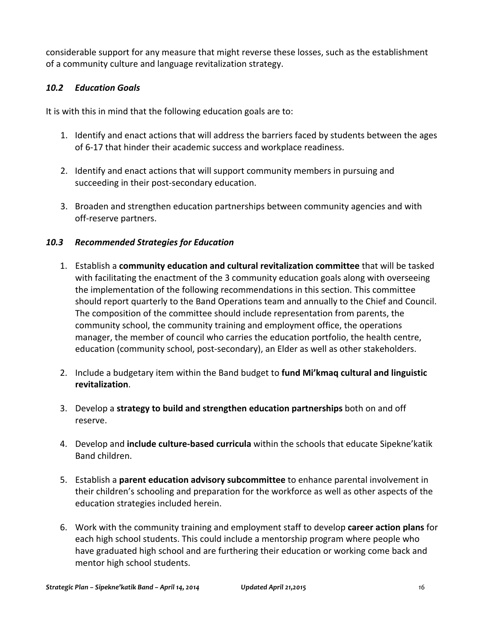considerable support for any measure that might reverse these losses, such as the establishment of a community culture and language revitalization strategy.

#### *10.2 Education Goals*

It is with this in mind that the following education goals are to:

- 1. Identify and enact actions that will address the barriers faced by students between the ages of 6-17 that hinder their academic success and workplace readiness.
- 2. Identify and enact actions that will support community members in pursuing and succeeding in their post-secondary education.
- 3. Broaden and strengthen education partnerships between community agencies and with off-reserve partners.

#### *10.3 Recommended Strategies for Education*

- 1. Establish a **community education and cultural revitalization committee** that will be tasked with facilitating the enactment of the 3 community education goals along with overseeing the implementation of the following recommendations in this section. This committee should report quarterly to the Band Operations team and annually to the Chief and Council. The composition of the committee should include representation from parents, the community school, the community training and employment office, the operations manager, the member of council who carries the education portfolio, the health centre, education (community school, post-secondary), an Elder as well as other stakeholders.
- 2. Include a budgetary item within the Band budget to fund Mi'kmaq cultural and linguistic **revitalization**.
- 3. Develop a **strategy to build and strengthen education partnerships** both on and off reserve.
- 4. Develop and include culture-based curricula within the schools that educate Sipekne'katik Band children.
- 5. Establish a **parent education advisory subcommittee** to enhance parental involvement in their children's schooling and preparation for the workforce as well as other aspects of the education strategies included herein.
- 6. Work with the community training and employment staff to develop career action plans for each high school students. This could include a mentorship program where people who have graduated high school and are furthering their education or working come back and mentor high school students.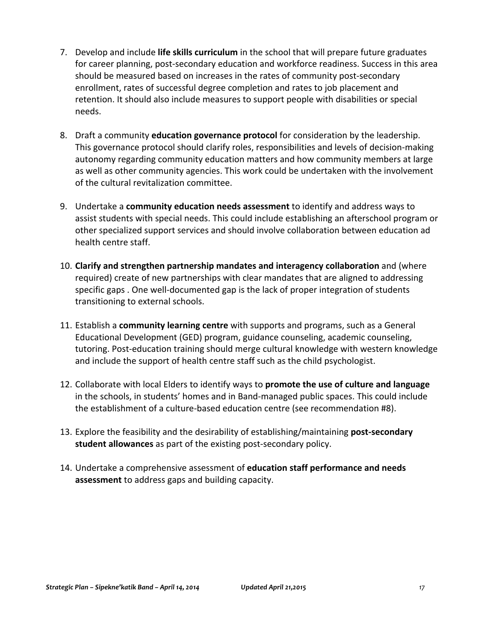- 7. Develop and include **life skills curriculum** in the school that will prepare future graduates for career planning, post-secondary education and workforce readiness. Success in this area should be measured based on increases in the rates of community post-secondary enrollment, rates of successful degree completion and rates to job placement and retention. It should also include measures to support people with disabilities or special needs.
- 8. Draft a community **education governance protocol** for consideration by the leadership. This governance protocol should clarify roles, responsibilities and levels of decision-making autonomy regarding community education matters and how community members at large as well as other community agencies. This work could be undertaken with the involvement of the cultural revitalization committee.
- 9. Undertake a **community education needs assessment** to identify and address ways to assist students with special needs. This could include establishing an afterschool program or other specialized support services and should involve collaboration between education ad health centre staff.
- 10. **Clarify** and strengthen partnership mandates and interagency collaboration and (where required) create of new partnerships with clear mandates that are aligned to addressing specific gaps . One well-documented gap is the lack of proper integration of students transitioning to external schools.
- 11. Establish a **community learning centre** with supports and programs, such as a General Educational Development (GED) program, guidance counseling, academic counseling, tutoring. Post-education training should merge cultural knowledge with western knowledge and include the support of health centre staff such as the child psychologist.
- 12. Collaborate with local Elders to identify ways to **promote the use of culture and language** in the schools, in students' homes and in Band-managed public spaces. This could include the establishment of a culture-based education centre (see recommendation #8).
- 13. Explore the feasibility and the desirability of establishing/maintaining **post-secondary student allowances** as part of the existing post-secondary policy.
- 14. Undertake a comprehensive assessment of **education staff performance and needs assessment** to address gaps and building capacity.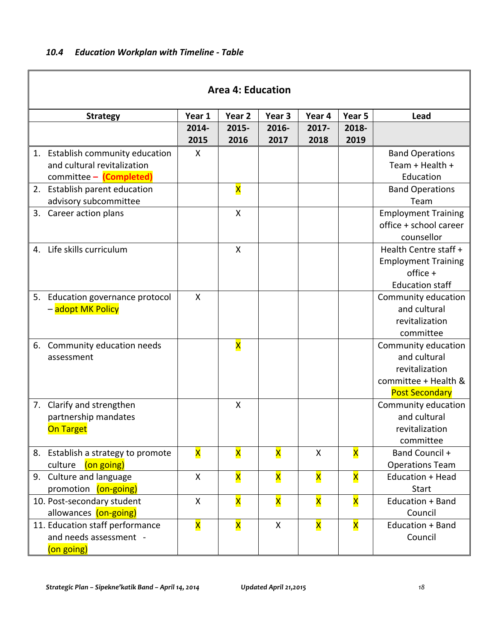$\mathbf I$ 

| <b>Area 4: Education</b> |                                    |                           |              |                         |        |        |                            |  |  |
|--------------------------|------------------------------------|---------------------------|--------------|-------------------------|--------|--------|----------------------------|--|--|
|                          | <b>Strategy</b>                    | Year 1                    | Year 2       | Year 3                  | Year 4 | Year 5 | Lead                       |  |  |
|                          |                                    | 2014-                     | 2015-        | 2016-                   | 2017-  | 2018-  |                            |  |  |
|                          |                                    | 2015                      | 2016         | 2017                    | 2018   | 2019   |                            |  |  |
|                          | 1. Establish community education   | X                         |              |                         |        |        | <b>Band Operations</b>     |  |  |
|                          | and cultural revitalization        |                           |              |                         |        |        | Team + Health +            |  |  |
|                          | committee - (Completed)            |                           |              |                         |        |        | Education                  |  |  |
|                          | 2. Establish parent education      |                           | X            |                         |        |        | <b>Band Operations</b>     |  |  |
|                          | advisory subcommittee              |                           |              |                         |        |        | Team                       |  |  |
|                          | 3. Career action plans             |                           | $\mathsf{x}$ |                         |        |        | <b>Employment Training</b> |  |  |
|                          |                                    |                           |              |                         |        |        | office + school career     |  |  |
|                          |                                    |                           |              |                         |        |        | counsellor                 |  |  |
|                          | 4. Life skills curriculum          |                           | X            |                         |        |        | Health Centre staff +      |  |  |
|                          |                                    |                           |              |                         |        |        | <b>Employment Training</b> |  |  |
|                          |                                    |                           |              |                         |        |        | $offsetice +$              |  |  |
|                          |                                    |                           |              |                         |        |        | <b>Education staff</b>     |  |  |
| 5.                       | Education governance protocol      | $\mathsf{x}$              |              |                         |        |        | Community education        |  |  |
|                          | - adopt MK Policy                  |                           |              |                         |        |        | and cultural               |  |  |
|                          |                                    |                           |              |                         |        |        | revitalization             |  |  |
|                          |                                    |                           |              |                         |        |        | committee                  |  |  |
|                          | 6. Community education needs       |                           | X            |                         |        |        | Community education        |  |  |
|                          | assessment                         |                           |              |                         |        |        | and cultural               |  |  |
|                          |                                    |                           |              |                         |        |        | revitalization             |  |  |
|                          |                                    |                           |              |                         |        |        | committee + Health &       |  |  |
|                          |                                    |                           |              |                         |        |        | <b>Post Secondary</b>      |  |  |
|                          | 7. Clarify and strengthen          |                           | X            |                         |        |        | Community education        |  |  |
|                          | partnership mandates               |                           |              |                         |        |        | and cultural               |  |  |
|                          | <b>On Target</b>                   |                           |              |                         |        |        | revitalization             |  |  |
|                          |                                    |                           |              |                         |        |        | committee                  |  |  |
|                          | 8. Establish a strategy to promote | $\overline{\mathsf{x}}$   | X            | $\overline{\mathsf{x}}$ | X      | X      | Band Council +             |  |  |
|                          | culture<br>(on going)              |                           |              |                         |        |        | <b>Operations Team</b>     |  |  |
|                          | 9. Culture and language            | $\mathsf{X}$              | X            | X                       | X      | X      | Education + Head           |  |  |
|                          | promotion (on-going)               |                           |              |                         |        |        | <b>Start</b>               |  |  |
|                          | 10. Post-secondary student         | $\boldsymbol{\mathsf{X}}$ | X            | X                       | X      | X      | Education + Band           |  |  |
|                          | allowances (on-going)              |                           |              |                         |        |        | Council                    |  |  |
|                          | 11. Education staff performance    | $\overline{\mathsf{x}}$   | X            | X                       | X      | X      | Education + Band           |  |  |
|                          | and needs assessment -             |                           |              |                         |        |        | Council                    |  |  |
|                          | (on going)                         |                           |              |                         |        |        |                            |  |  |

Ī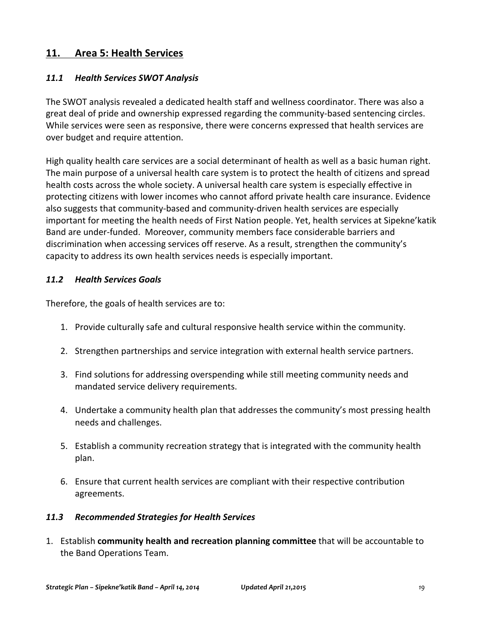### 11. Area 5: Health Services

#### *11.1 Health Services SWOT Analysis*

The SWOT analysis revealed a dedicated health staff and wellness coordinator. There was also a great deal of pride and ownership expressed regarding the community-based sentencing circles. While services were seen as responsive, there were concerns expressed that health services are over budget and require attention.

High quality health care services are a social determinant of health as well as a basic human right. The main purpose of a universal health care system is to protect the health of citizens and spread health costs across the whole society. A universal health care system is especially effective in protecting citizens with lower incomes who cannot afford private health care insurance. Evidence also suggests that community-based and community-driven health services are especially important for meeting the health needs of First Nation people. Yet, health services at Sipekne'katik Band are under-funded. Moreover, community members face considerable barriers and discrimination when accessing services off reserve. As a result, strengthen the community's capacity to address its own health services needs is especially important.

#### *11.2 Health Services Goals*

Therefore, the goals of health services are to:

- 1. Provide culturally safe and cultural responsive health service within the community.
- 2. Strengthen partnerships and service integration with external health service partners.
- 3. Find solutions for addressing overspending while still meeting community needs and mandated service delivery requirements.
- 4. Undertake a community health plan that addresses the community's most pressing health needs and challenges.
- 5. Establish a community recreation strategy that is integrated with the community health plan.
- 6. Ensure that current health services are compliant with their respective contribution agreements.

#### *11.3 Recommended Strategies for Health Services*

1. Establish **community health and recreation planning committee** that will be accountable to the Band Operations Team.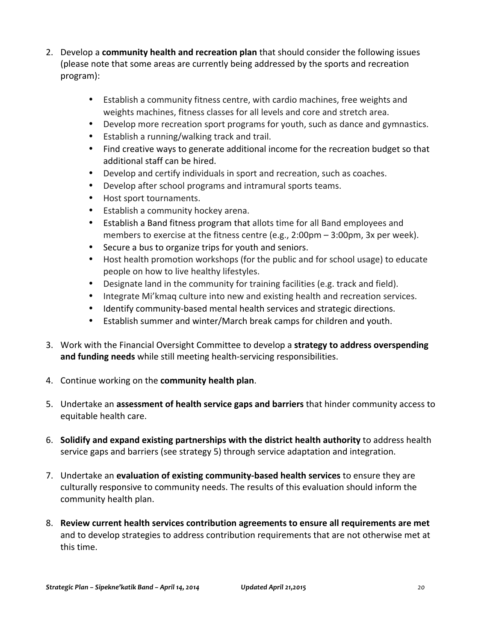- 2. Develop a **community health and recreation plan** that should consider the following issues (please note that some areas are currently being addressed by the sports and recreation program):
	- Establish a community fitness centre, with cardio machines, free weights and weights machines, fitness classes for all levels and core and stretch area.
	- Develop more recreation sport programs for youth, such as dance and gymnastics.
	- Establish a running/walking track and trail.
	- Find creative ways to generate additional income for the recreation budget so that additional staff can be hired.
	- Develop and certify individuals in sport and recreation, such as coaches.
	- Develop after school programs and intramural sports teams.
	- Host sport tournaments.
	- Establish a community hockey arena.
	- Establish a Band fitness program that allots time for all Band employees and members to exercise at the fitness centre (e.g., 2:00pm  $-$  3:00pm, 3x per week).
	- Secure a bus to organize trips for youth and seniors.
	- Host health promotion workshops (for the public and for school usage) to educate people on how to live healthy lifestyles.
	- Designate land in the community for training facilities (e.g. track and field).
	- Integrate Mi'kmaq culture into new and existing health and recreation services.
	- Identify community-based mental health services and strategic directions.
	- Establish summer and winter/March break camps for children and youth.
- 3. Work with the Financial Oversight Committee to develop a strategy to address overspending and funding needs while still meeting health-servicing responsibilities.
- 4. Continue working on the **community health plan**.
- 5. Undertake an **assessment of health service gaps and barriers** that hinder community access to equitable health care.
- 6. **Solidify and expand existing partnerships with the district health authority** to address health service gaps and barriers (see strategy 5) through service adaptation and integration.
- 7. Undertake an evaluation of existing community-based health services to ensure they are culturally responsive to community needs. The results of this evaluation should inform the community health plan.
- 8. Review current health services contribution agreements to ensure all requirements are met and to develop strategies to address contribution requirements that are not otherwise met at this time.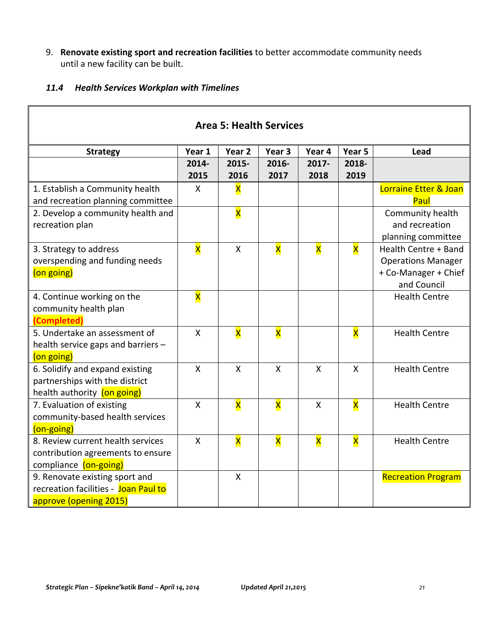9. Renovate existing sport and recreation facilities to better accommodate community needs until a new facility can be built.

#### *11.4 Health Services Workplan with Timelines*

| <b>Area 5: Health Services</b>       |                         |                   |                         |                         |              |                           |  |  |  |  |
|--------------------------------------|-------------------------|-------------------|-------------------------|-------------------------|--------------|---------------------------|--|--|--|--|
| <b>Strategy</b>                      | Year 1                  | Year <sub>2</sub> | Year 3                  | Year 4                  | Year 5       | Lead                      |  |  |  |  |
|                                      | 2014-                   | 2015-             | 2016-                   | 2017-                   | 2018-        |                           |  |  |  |  |
|                                      | 2015                    | 2016              | 2017                    | 2018                    | 2019         |                           |  |  |  |  |
| 1. Establish a Community health      | X                       | X                 |                         |                         |              | Lorraine Etter & Joan     |  |  |  |  |
| and recreation planning committee    |                         |                   |                         |                         |              | Paul                      |  |  |  |  |
| 2. Develop a community health and    |                         | X                 |                         |                         |              | Community health          |  |  |  |  |
| recreation plan                      |                         |                   |                         |                         |              | and recreation            |  |  |  |  |
|                                      |                         |                   |                         |                         |              | planning committee        |  |  |  |  |
| 3. Strategy to address               | X                       | $\mathsf{X}$      | X                       | X                       | X            | Health Centre + Band      |  |  |  |  |
| overspending and funding needs       |                         |                   |                         |                         |              | <b>Operations Manager</b> |  |  |  |  |
| (on going)                           |                         |                   |                         |                         |              | + Co-Manager + Chief      |  |  |  |  |
|                                      |                         |                   |                         |                         |              | and Council               |  |  |  |  |
| 4. Continue working on the           | $\overline{\mathsf{x}}$ |                   |                         |                         |              | <b>Health Centre</b>      |  |  |  |  |
| community health plan                |                         |                   |                         |                         |              |                           |  |  |  |  |
| (Completed)                          |                         |                   |                         |                         |              |                           |  |  |  |  |
| 5. Undertake an assessment of        | $\mathsf{X}$            | X                 | X                       |                         | X            | <b>Health Centre</b>      |  |  |  |  |
| health service gaps and barriers -   |                         |                   |                         |                         |              |                           |  |  |  |  |
| (on going)                           |                         |                   |                         |                         |              |                           |  |  |  |  |
| 6. Solidify and expand existing      | $\mathsf{x}$            | $\mathsf{x}$      | $\mathsf{x}$            | $\mathsf{x}$            | $\mathsf{X}$ | <b>Health Centre</b>      |  |  |  |  |
| partnerships with the district       |                         |                   |                         |                         |              |                           |  |  |  |  |
| health authority (on going)          |                         |                   |                         |                         |              |                           |  |  |  |  |
| 7. Evaluation of existing            | $\mathsf{x}$            | X                 | X                       | $\mathsf{X}$            | X            | <b>Health Centre</b>      |  |  |  |  |
| community-based health services      |                         |                   |                         |                         |              |                           |  |  |  |  |
| (on-going)                           |                         |                   |                         |                         |              |                           |  |  |  |  |
| 8. Review current health services    | $\mathsf{X}$            | X                 | $\overline{\mathsf{x}}$ | $\overline{\mathsf{x}}$ | X            | <b>Health Centre</b>      |  |  |  |  |
| contribution agreements to ensure    |                         |                   |                         |                         |              |                           |  |  |  |  |
| compliance (on-going)                |                         |                   |                         |                         |              |                           |  |  |  |  |
| 9. Renovate existing sport and       |                         | X                 |                         |                         |              | <b>Recreation Program</b> |  |  |  |  |
| recreation facilities - Joan Paul to |                         |                   |                         |                         |              |                           |  |  |  |  |
| approve (opening 2015)               |                         |                   |                         |                         |              |                           |  |  |  |  |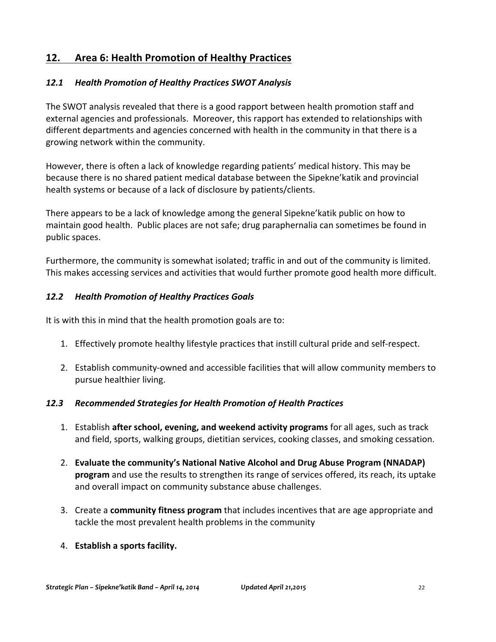## **12. Area 6: Health Promotion of Healthy Practices**

#### *12.1 Health Promotion of Healthy Practices SWOT Analysis*

The SWOT analysis revealed that there is a good rapport between health promotion staff and external agencies and professionals. Moreover, this rapport has extended to relationships with different departments and agencies concerned with health in the community in that there is a growing network within the community.

However, there is often a lack of knowledge regarding patients' medical history. This may be because there is no shared patient medical database between the Sipekne' katik and provincial health systems or because of a lack of disclosure by patients/clients.

There appears to be a lack of knowledge among the general Sipekne' katik public on how to maintain good health. Public places are not safe; drug paraphernalia can sometimes be found in public spaces.

Furthermore, the community is somewhat isolated; traffic in and out of the community is limited. This makes accessing services and activities that would further promote good health more difficult.

#### *12.2 Health Promotion of Healthy Practices Goals*

It is with this in mind that the health promotion goals are to:

- 1. Effectively promote healthy lifestyle practices that instill cultural pride and self-respect.
- 2. Establish community-owned and accessible facilities that will allow community members to pursue healthier living.

#### *12.3 Recommended Strategies for Health Promotion of Health Practices*

- 1. Establish **after school, evening, and weekend activity programs** for all ages, such as track and field, sports, walking groups, dietitian services, cooking classes, and smoking cessation.
- 2. **Evaluate the community's National Native Alcohol and Drug Abuse Program (NNADAP) program** and use the results to strengthen its range of services offered, its reach, its uptake and overall impact on community substance abuse challenges.
- 3. Create a **community fitness program** that includes incentives that are age appropriate and tackle the most prevalent health problems in the community
- 4. **Establish a sports facility.**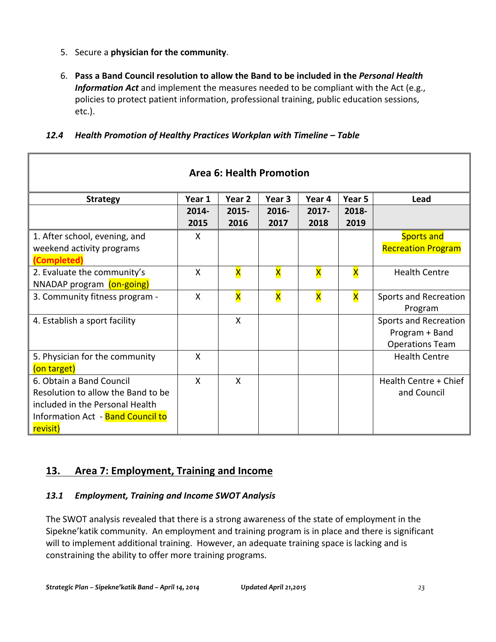- 5. Secure a physician for the community.
- 6. Pass a Band Council resolution to allow the Band to be included in the *Personal Health Information Act* and implement the measures needed to be compliant with the Act (e.g., policies to protect patient information, professional training, public education sessions, etc.).

| <b>Area 6: Health Promotion</b>    |                           |                         |                         |                         |                         |                           |  |  |  |
|------------------------------------|---------------------------|-------------------------|-------------------------|-------------------------|-------------------------|---------------------------|--|--|--|
| <b>Strategy</b>                    | Year 1                    | Year 2                  | Year 3                  | Year 4                  | Year 5                  | Lead                      |  |  |  |
|                                    | 2014-                     | 2015-                   | 2016-                   | $2017 -$                | 2018-                   |                           |  |  |  |
|                                    | 2015                      | 2016                    | 2017                    | 2018                    | 2019                    |                           |  |  |  |
| 1. After school, evening, and      | X                         |                         |                         |                         |                         | <b>Sports and</b>         |  |  |  |
| weekend activity programs          |                           |                         |                         |                         |                         | <b>Recreation Program</b> |  |  |  |
| (Completed)                        |                           |                         |                         |                         |                         |                           |  |  |  |
| 2. Evaluate the community's        | $\boldsymbol{\mathsf{X}}$ | $\overline{\mathsf{x}}$ | $\overline{\mathsf{x}}$ | X                       | $\overline{\mathsf{x}}$ | <b>Health Centre</b>      |  |  |  |
| NNADAP program (on-going)          |                           |                         |                         |                         |                         |                           |  |  |  |
| 3. Community fitness program -     | X                         | $\overline{\mathsf{x}}$ | $\overline{\mathsf{x}}$ | $\overline{\mathsf{x}}$ | $\overline{\mathsf{x}}$ | Sports and Recreation     |  |  |  |
|                                    |                           |                         |                         |                         |                         | Program                   |  |  |  |
| 4. Establish a sport facility      |                           | X                       |                         |                         |                         | Sports and Recreation     |  |  |  |
|                                    |                           |                         |                         |                         |                         | Program + Band            |  |  |  |
|                                    |                           |                         |                         |                         |                         | <b>Operations Team</b>    |  |  |  |
| 5. Physician for the community     | X                         |                         |                         |                         |                         | <b>Health Centre</b>      |  |  |  |
| (on target)                        |                           |                         |                         |                         |                         |                           |  |  |  |
| 6. Obtain a Band Council           | X                         | X                       |                         |                         |                         | Health Centre + Chief     |  |  |  |
| Resolution to allow the Band to be |                           |                         |                         |                         |                         | and Council               |  |  |  |
| included in the Personal Health    |                           |                         |                         |                         |                         |                           |  |  |  |
| Information Act - Band Council to  |                           |                         |                         |                         |                         |                           |  |  |  |
| revisit)                           |                           |                         |                         |                         |                         |                           |  |  |  |

#### *12.4 Health Promotion of Healthy Practices Workplan with Timeline – Table*

## **13.** Area 7: Employment, Training and Income

#### *13.1 Employment, Training and Income SWOT Analysis*

The SWOT analysis revealed that there is a strong awareness of the state of employment in the Sipekne' katik community. An employment and training program is in place and there is significant will to implement additional training. However, an adequate training space is lacking and is constraining the ability to offer more training programs.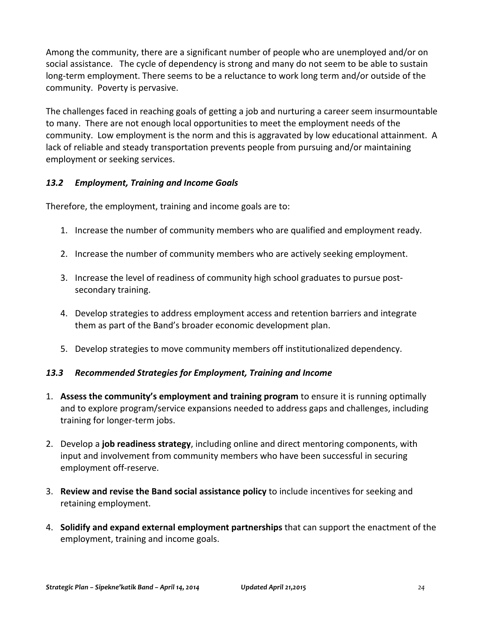Among the community, there are a significant number of people who are unemployed and/or on social assistance. The cycle of dependency is strong and many do not seem to be able to sustain long-term employment. There seems to be a reluctance to work long term and/or outside of the community. Poverty is pervasive.

The challenges faced in reaching goals of getting a job and nurturing a career seem insurmountable to many. There are not enough local opportunities to meet the employment needs of the community. Low employment is the norm and this is aggravated by low educational attainment. A lack of reliable and steady transportation prevents people from pursuing and/or maintaining employment or seeking services.

#### *13.2 Employment, Training and Income Goals*

Therefore, the employment, training and income goals are to:

- 1. Increase the number of community members who are qualified and employment ready.
- 2. Increase the number of community members who are actively seeking employment.
- 3. Increase the level of readiness of community high school graduates to pursue postsecondary training.
- 4. Develop strategies to address employment access and retention barriers and integrate them as part of the Band's broader economic development plan.
- 5. Develop strategies to move community members off institutionalized dependency.

#### *13.3 Recommended Strategies for Employment, Training and Income*

- 1. Assess the community's employment and training program to ensure it is running optimally and to explore program/service expansions needed to address gaps and challenges, including training for longer-term jobs.
- 2. Develop a **job readiness strategy**, including online and direct mentoring components, with input and involvement from community members who have been successful in securing employment off-reserve.
- **3. Review and revise the Band social assistance policy** to include incentives for seeking and retaining employment.
- 4. **Solidify and expand external employment partnerships** that can support the enactment of the employment, training and income goals.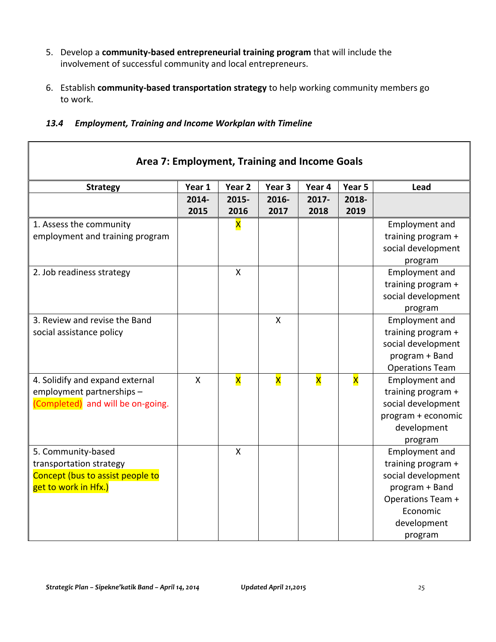- 5. Develop a **community-based entrepreneurial training program** that will include the involvement of successful community and local entrepreneurs.
- 6. Establish **community-based transportation strategy** to help working community members go to work.

| 13.4 | <b>Employment, Training and Income Workplan with Timeline</b> |  |  |
|------|---------------------------------------------------------------|--|--|
|      |                                                               |  |  |

| Area 7: Employment, Training and Income Goals |              |                           |                         |                         |                         |                        |  |  |  |
|-----------------------------------------------|--------------|---------------------------|-------------------------|-------------------------|-------------------------|------------------------|--|--|--|
| <b>Strategy</b>                               | Year 1       | Year 2                    | Year 3                  | Year 4                  | Year 5                  | Lead                   |  |  |  |
|                                               | 2014-        | 2015-                     | 2016-                   | 2017-                   | 2018-                   |                        |  |  |  |
|                                               | 2015         | 2016                      | 2017                    | 2018                    | 2019                    |                        |  |  |  |
| 1. Assess the community                       |              | $\overline{\mathsf{x}}$   |                         |                         |                         | Employment and         |  |  |  |
| employment and training program               |              |                           |                         |                         |                         | training program +     |  |  |  |
|                                               |              |                           |                         |                         |                         | social development     |  |  |  |
|                                               |              |                           |                         |                         |                         | program                |  |  |  |
| 2. Job readiness strategy                     |              | $\mathsf{X}$              |                         |                         |                         | Employment and         |  |  |  |
|                                               |              |                           |                         |                         |                         | training program +     |  |  |  |
|                                               |              |                           |                         |                         |                         | social development     |  |  |  |
|                                               |              |                           |                         |                         |                         | program                |  |  |  |
| 3. Review and revise the Band                 |              |                           | $\mathsf{X}$            |                         |                         | Employment and         |  |  |  |
| social assistance policy                      |              |                           |                         |                         |                         | training program +     |  |  |  |
|                                               |              |                           |                         |                         |                         | social development     |  |  |  |
|                                               |              |                           |                         |                         |                         | program + Band         |  |  |  |
|                                               |              |                           |                         |                         |                         | <b>Operations Team</b> |  |  |  |
| 4. Solidify and expand external               | $\mathsf{x}$ | $\overline{\mathsf{x}}$   | $\overline{\mathsf{x}}$ | $\overline{\mathsf{x}}$ | $\overline{\mathsf{x}}$ | Employment and         |  |  |  |
| employment partnerships -                     |              |                           |                         |                         |                         | training program +     |  |  |  |
| (Completed) and will be on-going.             |              |                           |                         |                         |                         | social development     |  |  |  |
|                                               |              |                           |                         |                         |                         | program + economic     |  |  |  |
|                                               |              |                           |                         |                         |                         | development            |  |  |  |
|                                               |              |                           |                         |                         |                         | program                |  |  |  |
| 5. Community-based                            |              | $\boldsymbol{\mathsf{X}}$ |                         |                         |                         | <b>Employment and</b>  |  |  |  |
| transportation strategy                       |              |                           |                         |                         |                         | training program +     |  |  |  |
| Concept (bus to assist people to              |              |                           |                         |                         |                         | social development     |  |  |  |
| get to work in Hfx.)                          |              |                           |                         |                         |                         | program + Band         |  |  |  |
|                                               |              |                           |                         |                         |                         | Operations Team +      |  |  |  |
|                                               |              |                           |                         |                         |                         | Economic               |  |  |  |
|                                               |              |                           |                         |                         |                         | development            |  |  |  |
|                                               |              |                           |                         |                         |                         | program                |  |  |  |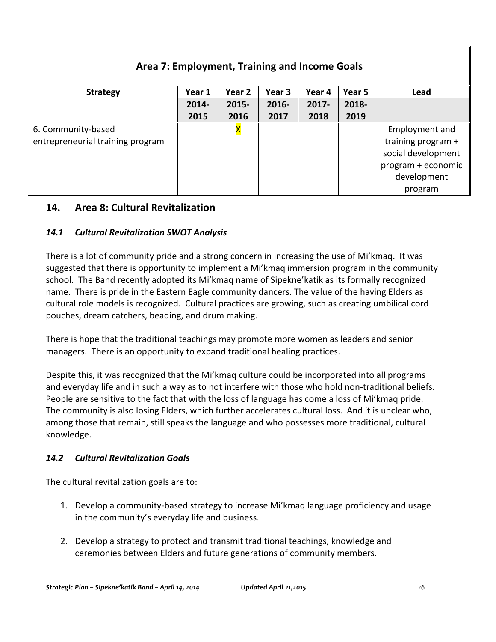| Area 7: Employment, Training and Income Goals |        |          |        |          |        |                    |  |
|-----------------------------------------------|--------|----------|--------|----------|--------|--------------------|--|
| <b>Strategy</b>                               | Year 1 | Year 2   | Year 3 | Year 4   | Year 5 | Lead               |  |
|                                               | 2014-  | $2015 -$ | 2016-  | $2017 -$ | 2018-  |                    |  |
|                                               | 2015   | 2016     | 2017   | 2018     | 2019   |                    |  |
| 6. Community-based                            |        |          |        |          |        | Employment and     |  |
| entrepreneurial training program              |        |          |        |          |        | training program + |  |
|                                               |        |          |        |          |        | social development |  |
|                                               |        |          |        |          |        | program + economic |  |
|                                               |        |          |        |          |        | development        |  |
|                                               |        |          |        |          |        | program            |  |

#### **14. Area 8: Cultural Revitalization**

#### *14.1 Cultural Revitalization SWOT Analysis*

There is a lot of community pride and a strong concern in increasing the use of Mi'kmaq. It was suggested that there is opportunity to implement a Mi'kmaq immersion program in the community school. The Band recently adopted its Mi'kmaq name of Sipekne'katik as its formally recognized name. There is pride in the Eastern Eagle community dancers. The value of the having Elders as cultural role models is recognized. Cultural practices are growing, such as creating umbilical cord pouches, dream catchers, beading, and drum making.

There is hope that the traditional teachings may promote more women as leaders and senior managers. There is an opportunity to expand traditional healing practices.

Despite this, it was recognized that the Mi'kmaq culture could be incorporated into all programs and everyday life and in such a way as to not interfere with those who hold non-traditional beliefs. People are sensitive to the fact that with the loss of language has come a loss of Mi'kmaq pride. The community is also losing Elders, which further accelerates cultural loss. And it is unclear who, among those that remain, still speaks the language and who possesses more traditional, cultural knowledge.

#### *14.2 Cultural Revitalization Goals*

The cultural revitalization goals are to:

- 1. Develop a community-based strategy to increase Mi'kmaq language proficiency and usage in the community's everyday life and business.
- 2. Develop a strategy to protect and transmit traditional teachings, knowledge and ceremonies between Elders and future generations of community members.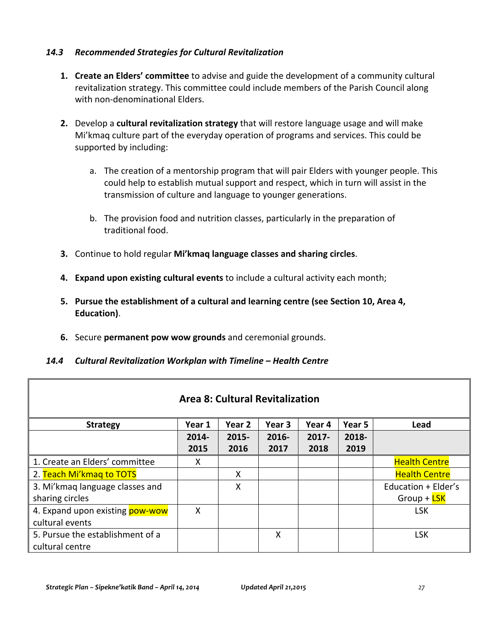#### *14.3 Recommended Strategies for Cultural Revitalization*

- **1.** Create an Elders' committee to advise and guide the development of a community cultural revitalization strategy. This committee could include members of the Parish Council along with non-denominational Flders.
- **2.** Develop a **cultural revitalization strategy** that will restore language usage and will make Mi'kmaq culture part of the everyday operation of programs and services. This could be supported by including:
	- a. The creation of a mentorship program that will pair Elders with younger people. This could help to establish mutual support and respect, which in turn will assist in the transmission of culture and language to younger generations.
	- b. The provision food and nutrition classes, particularly in the preparation of traditional food.
- **3.** Continue to hold regular Mi'kmaq language classes and sharing circles.
- **4. Expand upon existing cultural events** to include a cultural activity each month;
- **5.** Pursue the establishment of a cultural and learning centre (see Section 10, Area 4, **Education)**.
- **6.** Secure **permanent pow wow grounds** and ceremonial grounds.

#### *14.4 Cultural Revitalization Workplan with Timeline – Health Centre*

| <b>Area 8: Cultural Revitalization</b> |        |          |          |          |        |                      |  |  |
|----------------------------------------|--------|----------|----------|----------|--------|----------------------|--|--|
| <b>Strategy</b>                        | Year 1 | Year 2   | Year 3   | Year 4   | Year 5 | Lead                 |  |  |
|                                        | 2014-  | $2015 -$ | $2016 -$ | $2017 -$ | 2018-  |                      |  |  |
|                                        | 2015   | 2016     | 2017     | 2018     | 2019   |                      |  |  |
| 1. Create an Elders' committee         | X      |          |          |          |        | <b>Health Centre</b> |  |  |
| 2. Teach Mi'kmag to TOTS               |        | Χ        |          |          |        | <b>Health Centre</b> |  |  |
| 3. Mi'kmaq language classes and        |        | X        |          |          |        | Education + Elder's  |  |  |
| sharing circles                        |        |          |          |          |        | Group + LSK          |  |  |
| 4. Expand upon existing pow-wow        | X      |          |          |          |        | <b>LSK</b>           |  |  |
| cultural events                        |        |          |          |          |        |                      |  |  |
| 5. Pursue the establishment of a       |        |          | X        |          |        | <b>LSK</b>           |  |  |
| cultural centre                        |        |          |          |          |        |                      |  |  |

Г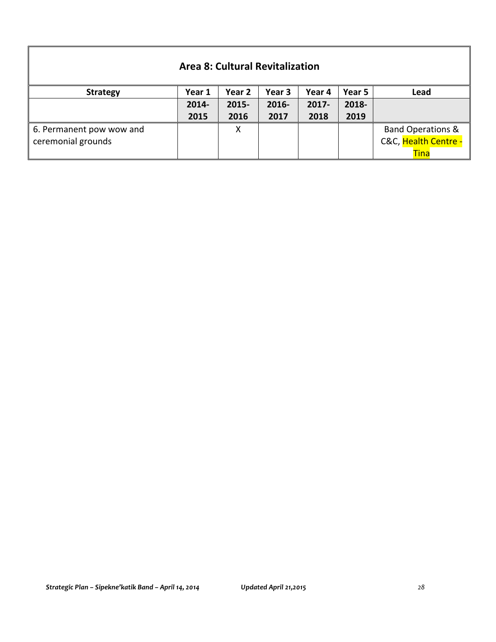| <b>Area 8: Cultural Revitalization</b>         |        |          |        |          |        |                                                                     |  |  |
|------------------------------------------------|--------|----------|--------|----------|--------|---------------------------------------------------------------------|--|--|
| <b>Strategy</b>                                | Year 1 | Year 2   | Year 3 | Year 4   | Year 5 | Lead                                                                |  |  |
|                                                | 2014-  | $2015 -$ | 2016-  | $2017 -$ | 2018-  |                                                                     |  |  |
|                                                | 2015   | 2016     | 2017   | 2018     | 2019   |                                                                     |  |  |
| 6. Permanent pow wow and<br>ceremonial grounds |        | X        |        |          |        | <b>Band Operations &amp;</b><br>C&C, Health Centre -<br><b>Tina</b> |  |  |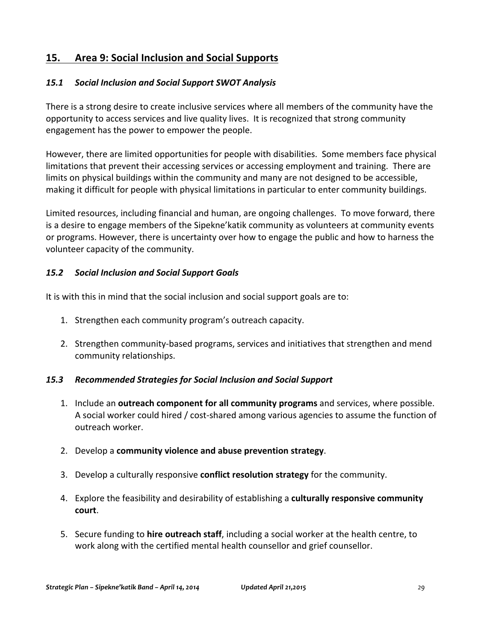## **15. Area 9: Social Inclusion and Social Supports**

#### *15.1 Social Inclusion and Social Support SWOT Analysis*

There is a strong desire to create inclusive services where all members of the community have the opportunity to access services and live quality lives. It is recognized that strong community engagement has the power to empower the people.

However, there are limited opportunities for people with disabilities. Some members face physical limitations that prevent their accessing services or accessing employment and training. There are limits on physical buildings within the community and many are not designed to be accessible, making it difficult for people with physical limitations in particular to enter community buildings.

Limited resources, including financial and human, are ongoing challenges. To move forward, there is a desire to engage members of the Sipekne' katik community as volunteers at community events or programs. However, there is uncertainty over how to engage the public and how to harness the volunteer capacity of the community.

#### *15.2 Social Inclusion and Social Support Goals*

It is with this in mind that the social inclusion and social support goals are to:

- 1. Strengthen each community program's outreach capacity.
- 2. Strengthen community-based programs, services and initiatives that strengthen and mend community relationships.

#### *15.3 Recommended Strategies for Social Inclusion and Social Support*

- 1. Include an **outreach component for all community programs** and services, where possible. A social worker could hired / cost-shared among various agencies to assume the function of outreach worker.
- 2. Develop a **community violence and abuse prevention strategy**.
- 3. Develop a culturally responsive **conflict resolution strategy** for the community.
- 4. Explore the feasibility and desirability of establishing a **culturally responsive community court**.
- 5. Secure funding to **hire outreach staff**, including a social worker at the health centre, to work along with the certified mental health counsellor and grief counsellor.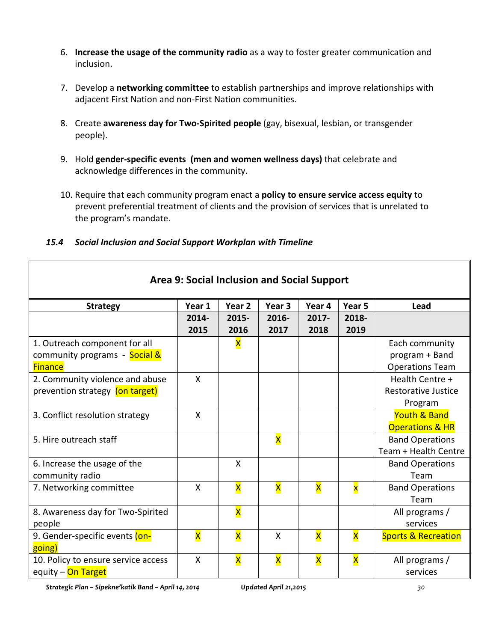- 6. **Increase the usage of the community radio** as a way to foster greater communication and inclusion.
- 7. Develop a networking committee to establish partnerships and improve relationships with adjacent First Nation and non-First Nation communities.
- 8. Create **awareness day for Two-Spirited people** (gay, bisexual, lesbian, or transgender people).
- 9. Hold gender-specific events (men and women wellness days) that celebrate and acknowledge differences in the community.
- 10. Require that each community program enact a **policy to ensure service access equity** to prevent preferential treatment of clients and the provision of services that is unrelated to the program's mandate.

#### *15.4 Social Inclusion and Social Support Workplan with Timeline*

| <b>Strategy</b>                     | Year 1                    | Year 2                  | Year 3                  | Year 4                  | Year 5                  | Lead                           |
|-------------------------------------|---------------------------|-------------------------|-------------------------|-------------------------|-------------------------|--------------------------------|
|                                     | 2014-                     | 2015-                   | 2016-                   | $2017 -$                | 2018-                   |                                |
|                                     | 2015                      | 2016                    | 2017                    | 2018                    | 2019                    |                                |
| 1. Outreach component for all       |                           | X                       |                         |                         |                         | Each community                 |
| community programs - Social &       |                           |                         |                         |                         |                         | program + Band                 |
| <b>Finance</b>                      |                           |                         |                         |                         |                         | <b>Operations Team</b>         |
| 2. Community violence and abuse     | X                         |                         |                         |                         |                         | Health Centre +                |
| prevention strategy (on target)     |                           |                         |                         |                         |                         | <b>Restorative Justice</b>     |
|                                     |                           |                         |                         |                         |                         | Program                        |
| 3. Conflict resolution strategy     | X                         |                         |                         |                         |                         | <b>Youth &amp; Band</b>        |
|                                     |                           |                         |                         |                         |                         | <b>Operations &amp; HR</b>     |
| 5. Hire outreach staff              |                           |                         | $\overline{\mathsf{x}}$ |                         |                         | <b>Band Operations</b>         |
|                                     |                           |                         |                         |                         |                         | Team + Health Centre           |
| 6. Increase the usage of the        |                           | X                       |                         |                         |                         | <b>Band Operations</b>         |
| community radio                     |                           |                         |                         |                         |                         | Team                           |
| 7. Networking committee             | X                         | X                       | $\overline{\mathsf{x}}$ | $\overline{\mathsf{x}}$ | $\overline{\mathbf{x}}$ | <b>Band Operations</b>         |
|                                     |                           |                         |                         |                         |                         | Team                           |
| 8. Awareness day for Two-Spirited   |                           | X                       |                         |                         |                         | All programs /                 |
| people                              |                           |                         |                         |                         |                         | services                       |
| 9. Gender-specific events (on-      | $\overline{\mathsf{x}}$   | $\overline{\mathsf{x}}$ | X                       | $\overline{\mathsf{x}}$ | $\overline{\mathsf{x}}$ | <b>Sports &amp; Recreation</b> |
| going)                              |                           |                         |                         |                         |                         |                                |
| 10. Policy to ensure service access | $\boldsymbol{\mathsf{X}}$ | $\overline{\mathsf{x}}$ | $\overline{\mathsf{x}}$ | X                       | $\overline{\mathsf{x}}$ | All programs /                 |
| equity - On Target                  |                           |                         |                         |                         |                         | services                       |

**Area 9: Social Inclusion and Social Support**

*Strategic Plan – Sipekne'katik Band – April 14, 2014 Updated April 21,2015 30*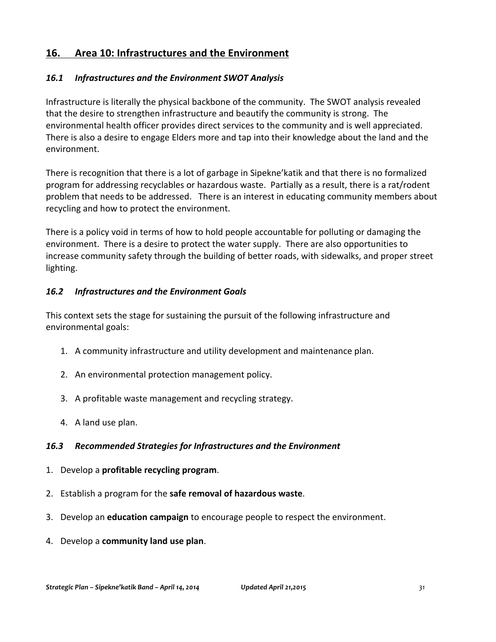## 16. Area 10: Infrastructures and the Environment

#### 16.1 Infrastructures and the Environment SWOT Analysis

Infrastructure is literally the physical backbone of the community. The SWOT analysis revealed that the desire to strengthen infrastructure and beautify the community is strong. The environmental health officer provides direct services to the community and is well appreciated. There is also a desire to engage Elders more and tap into their knowledge about the land and the environment.

There is recognition that there is a lot of garbage in Sipekne' katik and that there is no formalized program for addressing recyclables or hazardous waste. Partially as a result, there is a rat/rodent problem that needs to be addressed. There is an interest in educating community members about recycling and how to protect the environment.

There is a policy void in terms of how to hold people accountable for polluting or damaging the environment. There is a desire to protect the water supply. There are also opportunities to increase community safety through the building of better roads, with sidewalks, and proper street lighting.

#### *16.2 Infrastructures and the Environment Goals*

This context sets the stage for sustaining the pursuit of the following infrastructure and environmental goals:

- 1. A community infrastructure and utility development and maintenance plan.
- 2. An environmental protection management policy.
- 3. A profitable waste management and recycling strategy.
- 4. A land use plan.

#### 16.3 Recommended Strategies for Infrastructures and the Environment

- 1. Develop a **profitable recycling program.**
- 2. Establish a program for the safe removal of hazardous waste.
- 3. Develop an **education campaign** to encourage people to respect the environment.
- 4. Develop a **community land use plan**.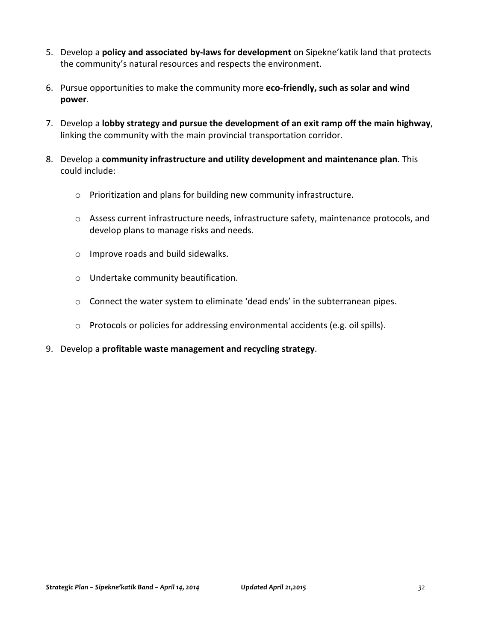- 5. Develop a **policy and associated by-laws for development** on Sipekne'katik land that protects the community's natural resources and respects the environment.
- 6. Pursue opportunities to make the community more **eco-friendly, such as solar and wind power**.
- 7. Develop a **lobby strategy and pursue the development of an exit ramp off the main highway**, linking the community with the main provincial transportation corridor.
- 8. Develop a community infrastructure and utility development and maintenance plan. This could include:
	- $\circ$  Prioritization and plans for building new community infrastructure.
	- o Assess current infrastructure needs, infrastructure safety, maintenance protocols, and develop plans to manage risks and needs.
	- $\circ$  Improve roads and build sidewalks.
	- $\circ$  Undertake community beautification.
	- $\circ$  Connect the water system to eliminate 'dead ends' in the subterranean pipes.
	- o Protocols or policies for addressing environmental accidents (e.g. oil spills).
- 9. Develop a **profitable waste management and recycling strategy**.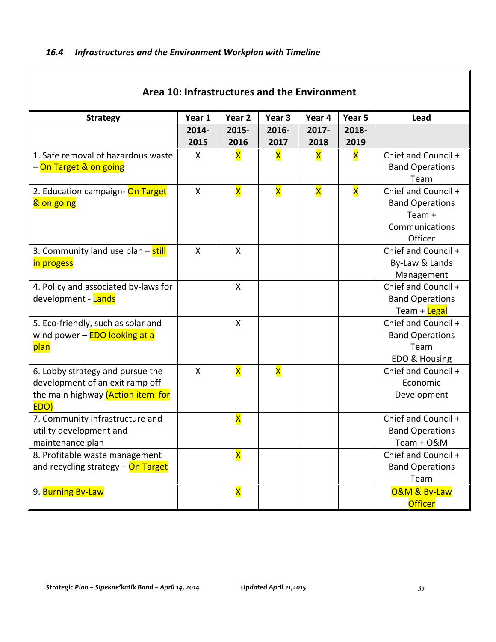$\mathbf I$ 

| Area 10: Infrastructures and the Environment |        |                         |                         |                         |                         |                                      |  |
|----------------------------------------------|--------|-------------------------|-------------------------|-------------------------|-------------------------|--------------------------------------|--|
| <b>Strategy</b>                              | Year 1 | Year 2                  | Year <sub>3</sub>       | Year 4                  | Year 5                  | Lead                                 |  |
|                                              | 2014-  | 2015-                   | 2016-                   | 2017-                   | 2018-                   |                                      |  |
|                                              | 2015   | 2016                    | 2017                    | 2018                    | 2019                    |                                      |  |
| 1. Safe removal of hazardous waste           | X      | X                       | $\overline{\mathsf{x}}$ | X                       | X                       | Chief and Council +                  |  |
| - On Target & on going                       |        |                         |                         |                         |                         | <b>Band Operations</b>               |  |
|                                              |        |                         |                         |                         |                         | Team                                 |  |
| 2. Education campaign- On Target             | X      | $\overline{\mathsf{x}}$ | $\overline{\mathsf{x}}$ | $\overline{\mathsf{x}}$ | $\overline{\mathsf{x}}$ | Chief and Council +                  |  |
| & on going                                   |        |                         |                         |                         |                         | <b>Band Operations</b>               |  |
|                                              |        |                         |                         |                         |                         | Team $+$                             |  |
|                                              |        |                         |                         |                         |                         | Communications                       |  |
|                                              |        |                         |                         |                         |                         | Officer                              |  |
| 3. Community land use plan - still           | X      | X                       |                         |                         |                         | Chief and Council +                  |  |
| in progess                                   |        |                         |                         |                         |                         | By-Law & Lands                       |  |
|                                              |        |                         |                         |                         |                         | Management                           |  |
| 4. Policy and associated by-laws for         |        | X                       |                         |                         |                         | Chief and Council +                  |  |
| development - Lands                          |        |                         |                         |                         |                         | <b>Band Operations</b>               |  |
|                                              |        |                         |                         |                         |                         | Team + Legal                         |  |
| 5. Eco-friendly, such as solar and           |        | X                       |                         |                         |                         | Chief and Council +                  |  |
| wind power - <b>EDO looking at a</b>         |        |                         |                         |                         |                         | <b>Band Operations</b>               |  |
| plan                                         |        |                         |                         |                         |                         | Team                                 |  |
|                                              | X      | X                       | $\overline{\mathsf{x}}$ |                         |                         | EDO & Housing<br>Chief and Council + |  |
| 6. Lobby strategy and pursue the             |        |                         |                         |                         |                         | Economic                             |  |
| development of an exit ramp off              |        |                         |                         |                         |                         |                                      |  |
| the main highway (Action item for<br>EDO)    |        |                         |                         |                         |                         | Development                          |  |
| 7. Community infrastructure and              |        | X                       |                         |                         |                         | Chief and Council +                  |  |
| utility development and                      |        |                         |                         |                         |                         | <b>Band Operations</b>               |  |
| maintenance plan                             |        |                         |                         |                         |                         | Team + O&M                           |  |
| 8. Profitable waste management               |        | X                       |                         |                         |                         | Chief and Council +                  |  |
| and recycling strategy - On Target           |        |                         |                         |                         |                         | <b>Band Operations</b>               |  |
|                                              |        |                         |                         |                         |                         | Team                                 |  |
| 9. Burning By-Law                            |        | X                       |                         |                         |                         | O&M & By-Law                         |  |
|                                              |        |                         |                         |                         |                         | <b>Officer</b>                       |  |

Ī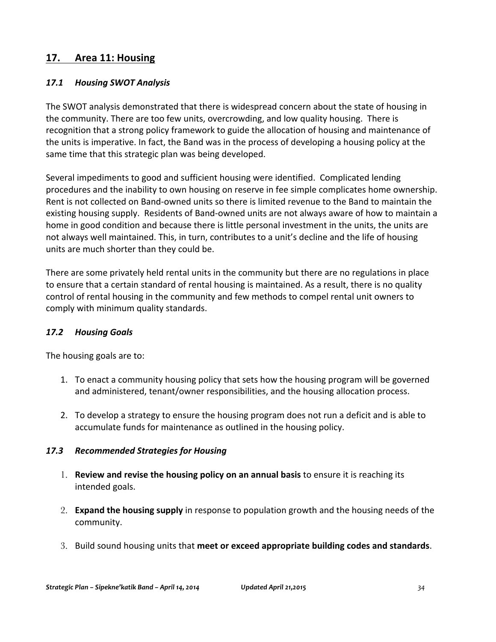#### **17. Area 11: Housing**

#### *17.1 Housing SWOT Analysis*

The SWOT analysis demonstrated that there is widespread concern about the state of housing in the community. There are too few units, overcrowding, and low quality housing. There is recognition that a strong policy framework to guide the allocation of housing and maintenance of the units is imperative. In fact, the Band was in the process of developing a housing policy at the same time that this strategic plan was being developed.

Several impediments to good and sufficient housing were identified. Complicated lending procedures and the inability to own housing on reserve in fee simple complicates home ownership. Rent is not collected on Band-owned units so there is limited revenue to the Band to maintain the existing housing supply. Residents of Band-owned units are not always aware of how to maintain a home in good condition and because there is little personal investment in the units, the units are not always well maintained. This, in turn, contributes to a unit's decline and the life of housing units are much shorter than they could be.

There are some privately held rental units in the community but there are no regulations in place to ensure that a certain standard of rental housing is maintained. As a result, there is no quality control of rental housing in the community and few methods to compel rental unit owners to comply with minimum quality standards.

#### *17.2 Housing Goals*

The housing goals are to:

- 1. To enact a community housing policy that sets how the housing program will be governed and administered, tenant/owner responsibilities, and the housing allocation process.
- 2. To develop a strategy to ensure the housing program does not run a deficit and is able to accumulate funds for maintenance as outlined in the housing policy.

#### *17.3 Recommended Strategies for Housing*

- 1. **Review and revise the housing policy on an annual basis** to ensure it is reaching its intended goals.
- 2. **Expand the housing supply** in response to population growth and the housing needs of the community.
- 3. Build sound housing units that meet or exceed appropriate building codes and standards.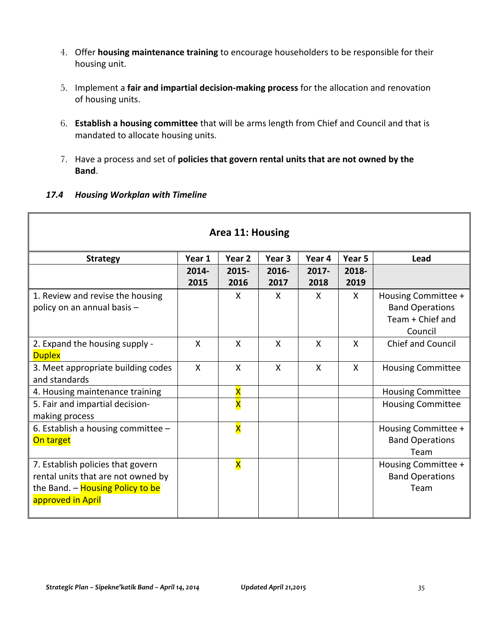- 4. Offer **housing maintenance training** to encourage householders to be responsible for their housing unit.
- 5. Implement a **fair and impartial decision-making process** for the allocation and renovation of housing units.
- 6. **Establish a housing committee** that will be arms length from Chief and Council and that is mandated to allocate housing units.
- 7. Have a process and set of **policies that govern rental units that are not owned by the Band**.

#### *17.4 Housing Workplan with Timeline*

| Area 11: Housing                   |                           |                           |                   |              |              |                          |  |  |
|------------------------------------|---------------------------|---------------------------|-------------------|--------------|--------------|--------------------------|--|--|
| <b>Strategy</b>                    | Year 1                    | Year 2                    | Year <sub>3</sub> | Year 4       | Year 5       | Lead                     |  |  |
|                                    | 2014-                     | 2015-                     | 2016-             | $2017 -$     | 2018-        |                          |  |  |
|                                    | 2015                      | 2016                      | 2017              | 2018         | 2019         |                          |  |  |
| 1. Review and revise the housing   |                           | X                         | X                 | X            | X            | Housing Committee +      |  |  |
| policy on an annual basis -        |                           |                           |                   |              |              | <b>Band Operations</b>   |  |  |
|                                    |                           |                           |                   |              |              | Team + Chief and         |  |  |
|                                    |                           |                           |                   |              |              | Council                  |  |  |
| 2. Expand the housing supply -     | X                         | $\boldsymbol{\mathsf{X}}$ | X                 | $\mathsf{X}$ | $\mathsf{x}$ | Chief and Council        |  |  |
| <b>Duplex</b>                      |                           |                           |                   |              |              |                          |  |  |
| 3. Meet appropriate building codes | $\boldsymbol{\mathsf{X}}$ | $\mathsf{x}$              | $\mathsf{X}$      | $\mathsf{X}$ | X            | <b>Housing Committee</b> |  |  |
| and standards                      |                           |                           |                   |              |              |                          |  |  |
| 4. Housing maintenance training    |                           | X                         |                   |              |              | <b>Housing Committee</b> |  |  |
| 5. Fair and impartial decision-    |                           | $\overline{\mathsf{x}}$   |                   |              |              | <b>Housing Committee</b> |  |  |
| making process                     |                           |                           |                   |              |              |                          |  |  |
| 6. Establish a housing committee - |                           | $\overline{\mathsf{x}}$   |                   |              |              | Housing Committee +      |  |  |
| On target                          |                           |                           |                   |              |              | <b>Band Operations</b>   |  |  |
|                                    |                           |                           |                   |              |              | Team                     |  |  |
| 7. Establish policies that govern  |                           | X                         |                   |              |              | Housing Committee +      |  |  |
| rental units that are not owned by |                           |                           |                   |              |              | <b>Band Operations</b>   |  |  |
| the Band. - Housing Policy to be   |                           |                           |                   |              |              | Team                     |  |  |
| approved in April                  |                           |                           |                   |              |              |                          |  |  |
|                                    |                           |                           |                   |              |              |                          |  |  |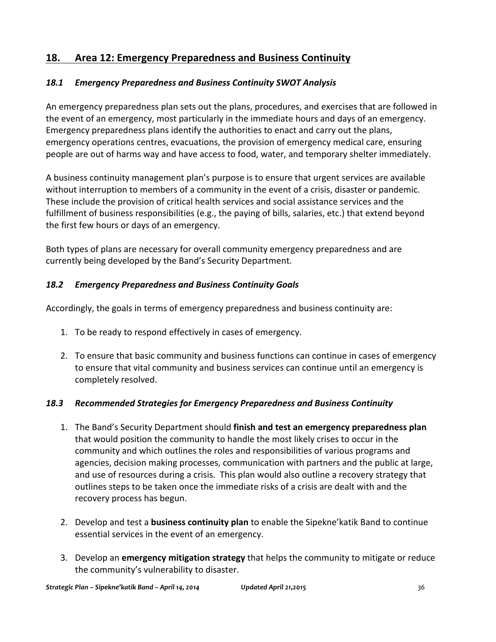## **18. Area 12: Emergency Preparedness and Business Continuity**

#### *18.1 Emergency Preparedness and Business Continuity SWOT Analysis*

An emergency preparedness plan sets out the plans, procedures, and exercises that are followed in the event of an emergency, most particularly in the immediate hours and days of an emergency. Emergency preparedness plans identify the authorities to enact and carry out the plans, emergency operations centres, evacuations, the provision of emergency medical care, ensuring people are out of harms way and have access to food, water, and temporary shelter immediately.

A business continuity management plan's purpose is to ensure that urgent services are available without interruption to members of a community in the event of a crisis, disaster or pandemic. These include the provision of critical health services and social assistance services and the fulfillment of business responsibilities (e.g., the paying of bills, salaries, etc.) that extend beyond the first few hours or days of an emergency.

Both types of plans are necessary for overall community emergency preparedness and are currently being developed by the Band's Security Department.

#### *18.2 Emergency Preparedness and Business Continuity Goals*

Accordingly, the goals in terms of emergency preparedness and business continuity are:

- 1. To be ready to respond effectively in cases of emergency.
- 2. To ensure that basic community and business functions can continue in cases of emergency to ensure that vital community and business services can continue until an emergency is completely resolved.

#### *18.3 Recommended Strategies for Emergency Preparedness and Business Continuity*

- 1. The Band's Security Department should **finish and test an emergency preparedness plan** that would position the community to handle the most likely crises to occur in the community and which outlines the roles and responsibilities of various programs and agencies, decision making processes, communication with partners and the public at large, and use of resources during a crisis. This plan would also outline a recovery strategy that outlines steps to be taken once the immediate risks of a crisis are dealt with and the recovery process has begun.
- 2. Develop and test a **business continuity plan** to enable the Sipekne' katik Band to continue essential services in the event of an emergency.
- 3. Develop an **emergency mitigation strategy** that helps the community to mitigate or reduce the community's vulnerability to disaster.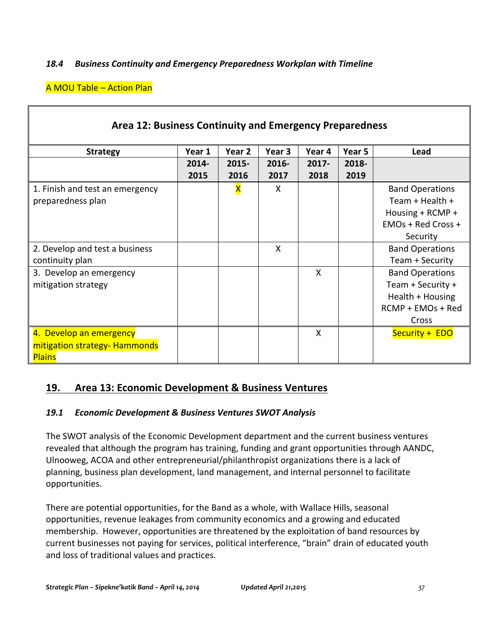#### *18.4 Business Continuity and Emergency Preparedness Workplan with Timeline*

#### **A MOU Table - Action Plan**

| Area 12: Business Continuity and Emergency Preparedness |        |                         |              |          |        |                        |  |
|---------------------------------------------------------|--------|-------------------------|--------------|----------|--------|------------------------|--|
| <b>Strategy</b>                                         | Year 1 | Year 2                  | Year 3       | Year 4   | Year 5 | Lead                   |  |
|                                                         | 2014-  | $2015 -$                | 2016-        | $2017 -$ | 2018-  |                        |  |
|                                                         | 2015   | 2016                    | 2017         | 2018     | 2019   |                        |  |
| 1. Finish and test an emergency                         |        | $\overline{\mathsf{x}}$ | $\mathsf{X}$ |          |        | <b>Band Operations</b> |  |
| preparedness plan                                       |        |                         |              |          |        | Team + Health +        |  |
|                                                         |        |                         |              |          |        | Housing + RCMP +       |  |
|                                                         |        |                         |              |          |        | EMOs + Red Cross +     |  |
|                                                         |        |                         |              |          |        | Security               |  |
| 2. Develop and test a business                          |        |                         | X            |          |        | <b>Band Operations</b> |  |
| continuity plan                                         |        |                         |              |          |        | Team + Security        |  |
| 3. Develop an emergency                                 |        |                         |              | X        |        | <b>Band Operations</b> |  |
| mitigation strategy                                     |        |                         |              |          |        | Team + Security +      |  |
|                                                         |        |                         |              |          |        | Health $+$ Housing     |  |
|                                                         |        |                         |              |          |        | RCMP + EMOs + Red      |  |
|                                                         |        |                         |              |          |        | Cross                  |  |
| 4. Develop an emergency                                 |        |                         |              | X        |        | Security + EDO         |  |
| mitigation strategy- Hammonds                           |        |                         |              |          |        |                        |  |
| <b>Plains</b>                                           |        |                         |              |          |        |                        |  |

#### **19. Area 13: Economic Development & Business Ventures**

#### *19.1 Economic Development & Business Ventures SWOT Analysis*

The SWOT analysis of the Economic Development department and the current business ventures revealed that although the program has training, funding and grant opportunities through AANDC, Ulnooweg, ACOA and other entrepreneurial/philanthropist organizations there is a lack of planning, business plan development, land management, and internal personnel to facilitate opportunities.

There are potential opportunities, for the Band as a whole, with Wallace Hills, seasonal opportunities, revenue leakages from community economics and a growing and educated membership. However, opportunities are threatened by the exploitation of band resources by current businesses not paying for services, political interference, "brain" drain of educated youth and loss of traditional values and practices.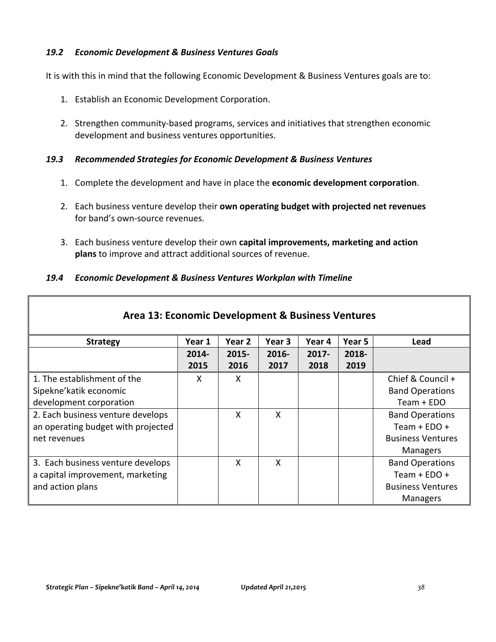#### *19.2 Economic Development & Business Ventures Goals*

It is with this in mind that the following Economic Development & Business Ventures goals are to:

- 1. Establish an Economic Development Corporation.
- 2. Strengthen community-based programs, services and initiatives that strengthen economic development and business ventures opportunities.

#### *19.3 Recommended Strategies for Economic Development & Business Ventures*

- 1. Complete the development and have in place the **economic development corporation**.
- 2. Each business venture develop their **own operating budget with projected net revenues** for band's own-source revenues.
- 3. Each business venture develop their own capital improvements, marketing and action **plans** to improve and attract additional sources of revenue.

#### *19.4 Economic Development & Business Ventures Workplan with Timeline*

| Area 13: Economic Development & Business Ventures |        |          |        |          |        |                          |  |
|---------------------------------------------------|--------|----------|--------|----------|--------|--------------------------|--|
| <b>Strategy</b>                                   | Year 1 | Year 2   | Year 3 | Year 4   | Year 5 | Lead                     |  |
|                                                   | 2014-  | $2015 -$ | 2016-  | $2017 -$ | 2018-  |                          |  |
|                                                   | 2015   | 2016     | 2017   | 2018     | 2019   |                          |  |
| 1. The establishment of the                       | X      | X        |        |          |        | Chief & Council +        |  |
| Sipekne'katik economic                            |        |          |        |          |        | <b>Band Operations</b>   |  |
| development corporation                           |        |          |        |          |        | Team + EDO               |  |
| 2. Each business venture develops                 |        | X        | X      |          |        | <b>Band Operations</b>   |  |
| an operating budget with projected                |        |          |        |          |        | Team + $EDO +$           |  |
| net revenues                                      |        |          |        |          |        | <b>Business Ventures</b> |  |
|                                                   |        |          |        |          |        | <b>Managers</b>          |  |
| 3. Each business venture develops                 |        | X        | X      |          |        | <b>Band Operations</b>   |  |
| a capital improvement, marketing                  |        |          |        |          |        | Team + $EDO +$           |  |
| and action plans                                  |        |          |        |          |        | <b>Business Ventures</b> |  |
|                                                   |        |          |        |          |        | Managers                 |  |

Г